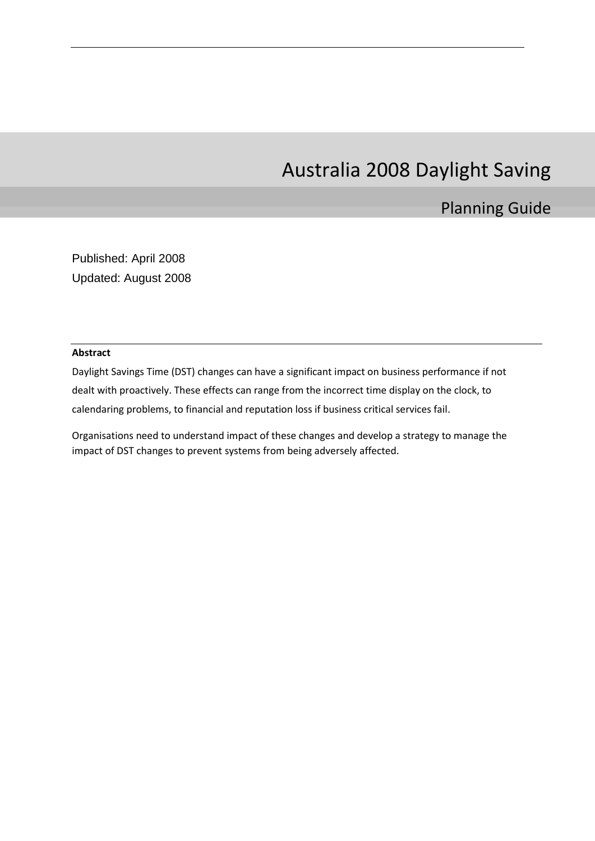# Australia 2008 Daylight Saving

# Planning Guide

Published: April 2008 Updated: August 2008

#### **Abstract**

Daylight Savings Time (DST) changes can have a significant impact on business performance if not dealt with proactively. These effects can range from the incorrect time display on the clock, to calendaring problems, to financial and reputation loss if business critical services fail.

Organisations need to understand impact of these changes and develop a strategy to manage the impact of DST changes to prevent systems from being adversely affected.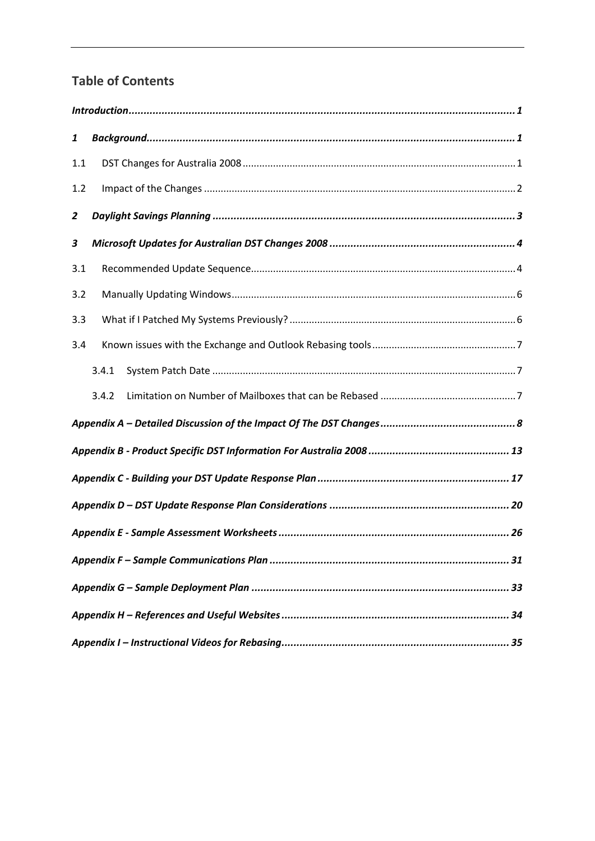## **Table of Contents**

| 1              |       |  |
|----------------|-------|--|
| 1.1            |       |  |
| 1.2            |       |  |
| $\overline{2}$ |       |  |
| 3              |       |  |
| 3.1            |       |  |
| 3.2            |       |  |
| 3.3            |       |  |
| 3.4            |       |  |
|                | 3.4.1 |  |
|                | 3.4.2 |  |
|                |       |  |
|                |       |  |
|                |       |  |
|                |       |  |
|                |       |  |
|                |       |  |
|                |       |  |
|                |       |  |
|                |       |  |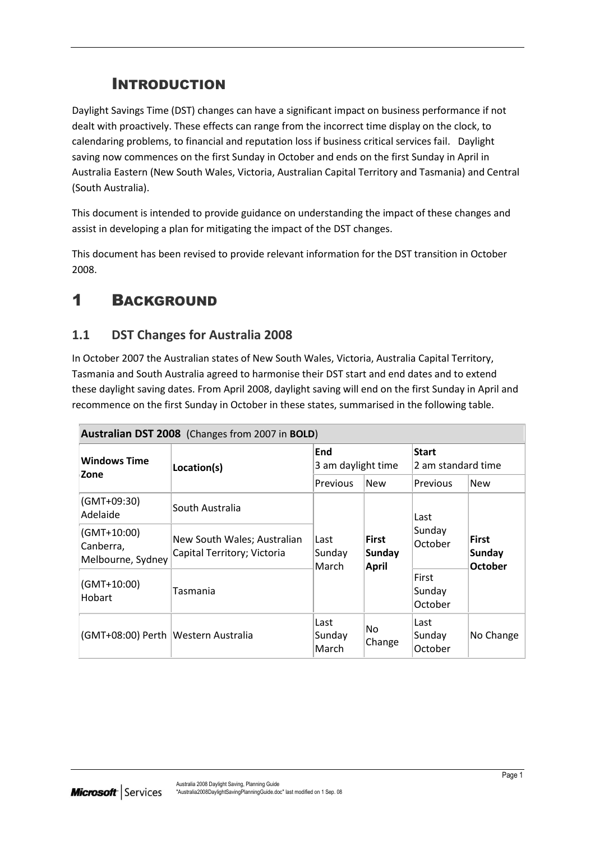# INTRODUCTION

<span id="page-2-0"></span>Daylight Savings Time (DST) changes can have a significant impact on business performance if not dealt with proactively. These effects can range from the incorrect time display on the clock, to calendaring problems, to financial and reputation loss if business critical services fail. Daylight saving now commences on the first Sunday in October and ends on the first Sunday in April in Australia Eastern (New South Wales, Victoria, Australian Capital Territory and Tasmania) and Central (South Australia).

This document is intended to provide guidance on understanding the impact of these changes and assist in developing a plan for mitigating the impact of the DST changes.

This document has been revised to provide relevant information for the DST transition in October 2008.

# <span id="page-2-1"></span>1 BACKGROUND

## <span id="page-2-2"></span>**1.1 DST Changes for Australia 2008**

In October 2007 the Australian states of New South Wales, Victoria, Australia Capital Territory, Tasmania and South Australia agreed to harmonise their DST start and end dates and to extend these daylight saving dates. From April 2008, daylight saving will end on the first Sunday in April and recommence on the first Sunday in October in these states, summarised in the following table.

| Australian DST 2008 (Changes from 2007 in BOLD) |                                                            |                                                                          |                   |                                                 |            |
|-------------------------------------------------|------------------------------------------------------------|--------------------------------------------------------------------------|-------------------|-------------------------------------------------|------------|
| <b>Windows Time</b><br>Zone                     | Location(s)                                                | End<br>3 am daylight time                                                |                   | <b>Start</b><br>2 am standard time              |            |
|                                                 |                                                            | Previous                                                                 | <b>New</b>        | Previous                                        | <b>New</b> |
| (GMT+09:30)<br>Adelaide                         | South Australia                                            |                                                                          |                   | Last                                            |            |
| (GMT+10:00)<br>Canberra,<br>Melbourne, Sydney   | New South Wales; Australian<br>Capital Territory; Victoria | <b>First</b><br>Last<br><b>Sunday</b><br>Sunday<br><b>April</b><br>March | Sunday<br>October | <b>First</b><br><b>Sunday</b><br><b>October</b> |            |
| (GMT+10:00)<br>Hobart                           | Tasmania                                                   |                                                                          |                   | First<br>Sunday<br>October                      |            |
| (GMT+08:00) Perth   Western Australia           |                                                            | Last<br>Sunday<br>March                                                  | No.<br>Change     | Last<br>Sunday<br>October                       | No Change  |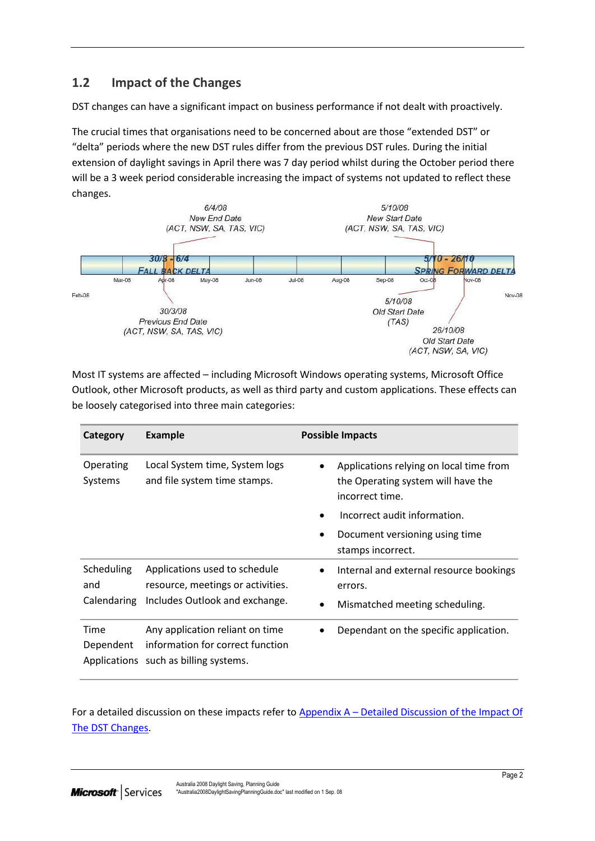## <span id="page-3-0"></span>**1.2 Impact of the Changes**

DST changes can have a significant impact on business performance if not dealt with proactively.

The crucial times that organisations need to be concerned about are those "extended DST" or "delta" periods where the new DST rules differ from the previous DST rules. During the initial extension of daylight savings in April there was 7 day period whilst during the October period there will be a 3 week period considerable increasing the impact of systems not updated to reflect these changes.



Most IT systems are affected – including Microsoft Windows operating systems, Microsoft Office Outlook, other Microsoft products, as well as third party and custom applications. These effects can be loosely categorised into three main categories:

| Category             | <b>Example</b>                                                                                               | <b>Possible Impacts</b>                                                                          |
|----------------------|--------------------------------------------------------------------------------------------------------------|--------------------------------------------------------------------------------------------------|
| Operating<br>Systems | Local System time, System logs<br>and file system time stamps.                                               | Applications relying on local time from<br>the Operating system will have the<br>incorrect time. |
|                      |                                                                                                              | Incorrect audit information.                                                                     |
|                      |                                                                                                              | Document versioning using time<br>stamps incorrect.                                              |
| Scheduling<br>and    | Applications used to schedule<br>resource, meetings or activities.                                           | Internal and external resource bookings<br>errors.                                               |
| Calendaring          | Includes Outlook and exchange.                                                                               | Mismatched meeting scheduling.                                                                   |
| Time<br>Dependent    | Any application reliant on time<br>information for correct function<br>Applications such as billing systems. | Dependant on the specific application.                                                           |

For a detailed discussion on these impacts refer to Appendix A – [Detailed Discussion of the Impact Of](#page-9-0)  [The DST Changes.](#page-9-0)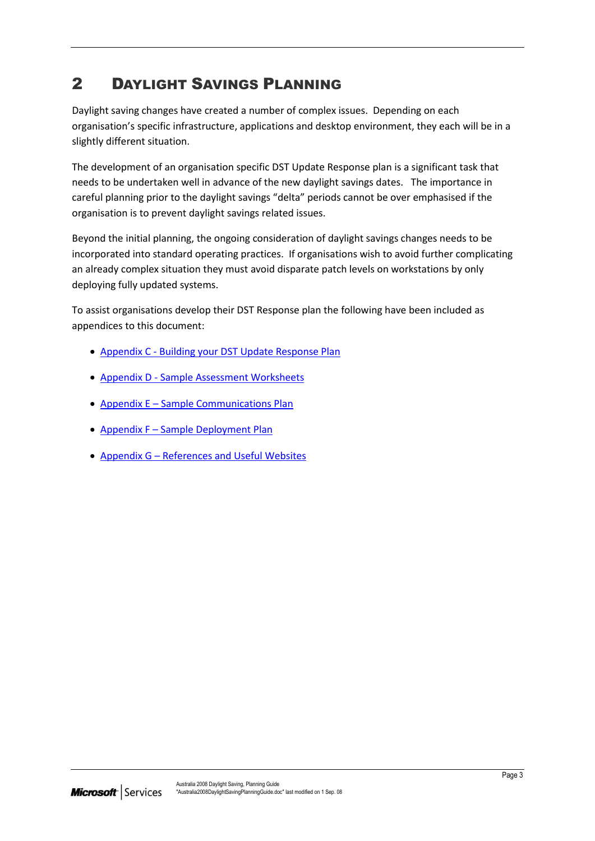# <span id="page-4-0"></span>2 DAYLIGHT SAVINGS PLANNING

Daylight saving changes have created a number of complex issues. Depending on each organisation's specific infrastructure, applications and desktop environment, they each will be in a slightly different situation.

The development of an organisation specific DST Update Response plan is a significant task that needs to be undertaken well in advance of the new daylight savings dates. The importance in careful planning prior to the daylight savings "delta" periods cannot be over emphasised if the organisation is to prevent daylight savings related issues.

Beyond the initial planning, the ongoing consideration of daylight savings changes needs to be incorporated into standard operating practices. If organisations wish to avoid further complicating an already complex situation they must avoid disparate patch levels on workstations by only deploying fully updated systems.

To assist organisations develop their DST Response plan the following have been included as appendices to this document:

- Appendix C [Building your DST Update Response Plan](#page-18-0)
- Appendix D [Sample Assessment Worksheets](#page-18-0)
- Appendix E [Sample Communications Plan](#page-32-0)
- Appendix F [Sample Deployment Plan](#page-34-0)
- Appendix G [References and Useful Websites](#page-35-0)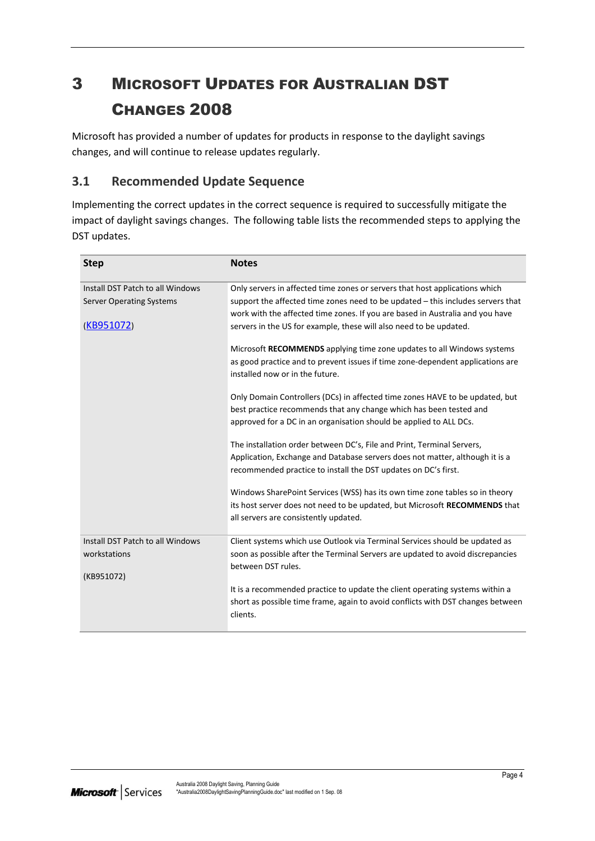# <span id="page-5-0"></span>3 MICROSOFT UPDATES FOR AUSTRALIAN DST CHANGES 2008

Microsoft has provided a number of updates for products in response to the daylight savings changes, and will continue to release updates regularly.

## <span id="page-5-1"></span>**3.1 Recommended Update Sequence**

Implementing the correct updates in the correct sequence is required to successfully mitigate the impact of daylight savings changes. The following table lists the recommended steps to applying the DST updates.

| <b>Step</b>                      | <b>Notes</b>                                                                                |
|----------------------------------|---------------------------------------------------------------------------------------------|
| Install DST Patch to all Windows | Only servers in affected time zones or servers that host applications which                 |
| <b>Server Operating Systems</b>  | support the affected time zones need to be updated - this includes servers that             |
|                                  | work with the affected time zones. If you are based in Australia and you have               |
| (KB951072)                       | servers in the US for example, these will also need to be updated.                          |
|                                  | Microsoft RECOMMENDS applying time zone updates to all Windows systems                      |
|                                  | as good practice and to prevent issues if time zone-dependent applications are              |
|                                  | installed now or in the future.                                                             |
|                                  | Only Domain Controllers (DCs) in affected time zones HAVE to be updated, but                |
|                                  | best practice recommends that any change which has been tested and                          |
|                                  | approved for a DC in an organisation should be applied to ALL DCs.                          |
|                                  | The installation order between DC's, File and Print, Terminal Servers,                      |
|                                  | Application, Exchange and Database servers does not matter, although it is a                |
|                                  | recommended practice to install the DST updates on DC's first.                              |
|                                  | Windows SharePoint Services (WSS) has its own time zone tables so in theory                 |
|                                  | its host server does not need to be updated, but Microsoft RECOMMENDS that                  |
|                                  | all servers are consistently updated.                                                       |
| Install DST Patch to all Windows | Client systems which use Outlook via Terminal Services should be updated as                 |
| workstations                     | soon as possible after the Terminal Servers are updated to avoid discrepancies              |
|                                  | between DST rules.                                                                          |
| (KB951072)                       |                                                                                             |
|                                  | It is a recommended practice to update the client operating systems within a                |
|                                  | short as possible time frame, again to avoid conflicts with DST changes between<br>clients. |
|                                  |                                                                                             |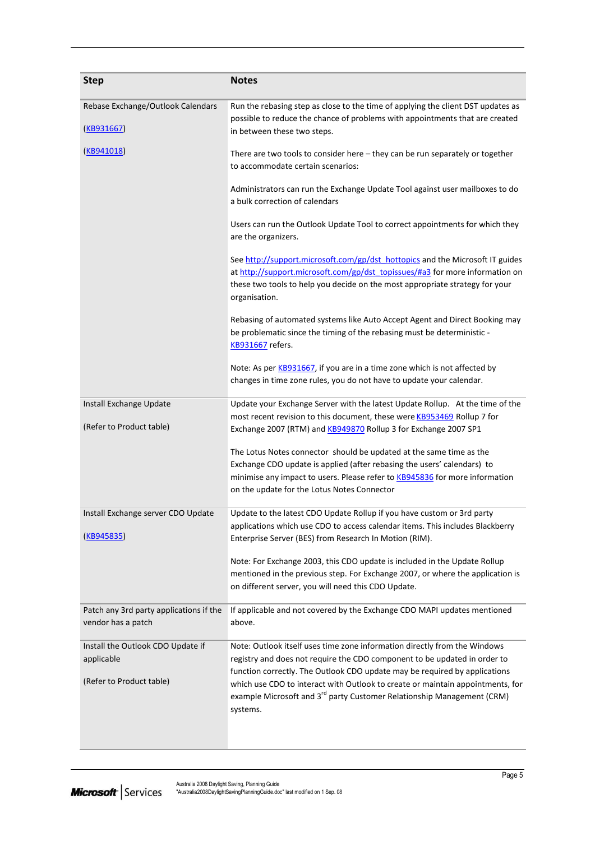| <b>Step</b>                                                                 | <b>Notes</b>                                                                                                                                                                                                                                                                                                                                                                                                             |
|-----------------------------------------------------------------------------|--------------------------------------------------------------------------------------------------------------------------------------------------------------------------------------------------------------------------------------------------------------------------------------------------------------------------------------------------------------------------------------------------------------------------|
| Rebase Exchange/Outlook Calendars<br>(KB931667)                             | Run the rebasing step as close to the time of applying the client DST updates as<br>possible to reduce the chance of problems with appointments that are created<br>in between these two steps.                                                                                                                                                                                                                          |
| (KB941018)                                                                  | There are two tools to consider here - they can be run separately or together<br>to accommodate certain scenarios:                                                                                                                                                                                                                                                                                                       |
|                                                                             | Administrators can run the Exchange Update Tool against user mailboxes to do<br>a bulk correction of calendars                                                                                                                                                                                                                                                                                                           |
|                                                                             | Users can run the Outlook Update Tool to correct appointments for which they<br>are the organizers.                                                                                                                                                                                                                                                                                                                      |
|                                                                             | See http://support.microsoft.com/gp/dst_hottopics and the Microsoft IT guides<br>at http://support.microsoft.com/gp/dst_topissues/#a3 for more information on<br>these two tools to help you decide on the most appropriate strategy for your<br>organisation.                                                                                                                                                           |
|                                                                             | Rebasing of automated systems like Auto Accept Agent and Direct Booking may<br>be problematic since the timing of the rebasing must be deterministic -<br><b>KB931667</b> refers.                                                                                                                                                                                                                                        |
|                                                                             | Note: As per KB931667, if you are in a time zone which is not affected by<br>changes in time zone rules, you do not have to update your calendar.                                                                                                                                                                                                                                                                        |
| Install Exchange Update<br>(Refer to Product table)                         | Update your Exchange Server with the latest Update Rollup. At the time of the<br>most recent revision to this document, these were <b>KB953469</b> Rollup 7 for<br>Exchange 2007 (RTM) and <b>KB949870</b> Rollup 3 for Exchange 2007 SP1                                                                                                                                                                                |
|                                                                             | The Lotus Notes connector should be updated at the same time as the<br>Exchange CDO update is applied (after rebasing the users' calendars) to<br>minimise any impact to users. Please refer to <b>KB945836</b> for more information<br>on the update for the Lotus Notes Connector                                                                                                                                      |
| Install Exchange server CDO Update<br>(KB945835)                            | Update to the latest CDO Update Rollup if you have custom or 3rd party<br>applications which use CDO to access calendar items. This includes Blackberry<br>Enterprise Server (BES) from Research In Motion (RIM).                                                                                                                                                                                                        |
|                                                                             | Note: For Exchange 2003, this CDO update is included in the Update Rollup<br>mentioned in the previous step. For Exchange 2007, or where the application is<br>on different server, you will need this CDO Update.                                                                                                                                                                                                       |
| Patch any 3rd party applications if the<br>vendor has a patch               | If applicable and not covered by the Exchange CDO MAPI updates mentioned<br>above.                                                                                                                                                                                                                                                                                                                                       |
| Install the Outlook CDO Update if<br>applicable<br>(Refer to Product table) | Note: Outlook itself uses time zone information directly from the Windows<br>registry and does not require the CDO component to be updated in order to<br>function correctly. The Outlook CDO update may be required by applications<br>which use CDO to interact with Outlook to create or maintain appointments, for<br>example Microsoft and 3 <sup>rd</sup> party Customer Relationship Management (CRM)<br>systems. |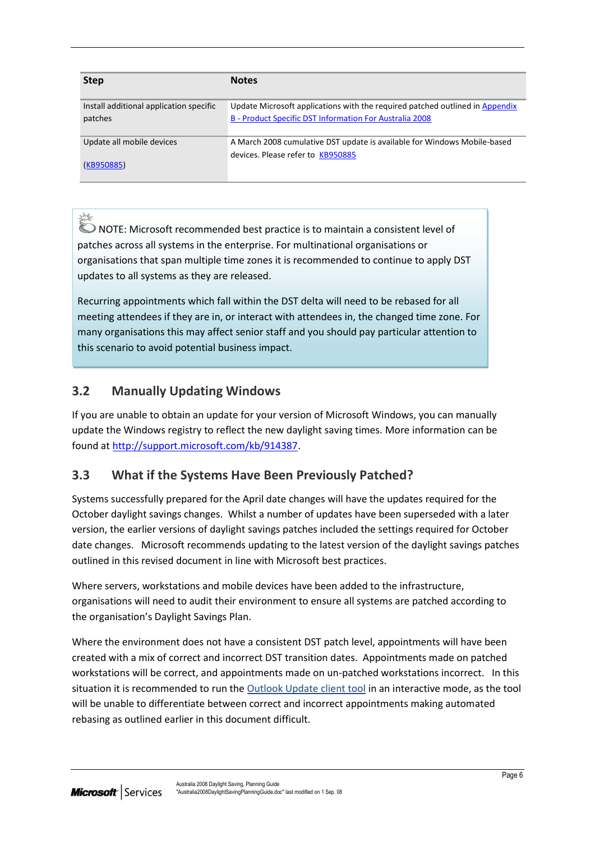| <b>Step</b>                             | <b>Notes</b>                                                                 |
|-----------------------------------------|------------------------------------------------------------------------------|
| Install additional application specific | Update Microsoft applications with the required patched outlined in Appendix |
| patches                                 | B - Product Specific DST Information For Australia 2008                      |
| Update all mobile devices               | A March 2008 cumulative DST update is available for Windows Mobile-based     |
| (KB950885)                              | devices. Please refer to KB950885                                            |

NOTE: Microsoft recommended best practice is to maintain a consistent level of patches across all systems in the enterprise. For multinational organisations or organisations that span multiple time zones it is recommended to continue to apply DST updates to all systems as they are released.

Recurring appointments which fall within the DST delta will need to be rebased for all meeting attendees if they are in, or interact with attendees in, the changed time zone. For many organisations this may affect senior staff and you should pay particular attention to this scenario to avoid potential business impact.

## <span id="page-7-0"></span>**3.2 Manually Updating Windows**

 $\mathbb{M}_\mathbb{Z}$ 

If you are unable to obtain an update for your version of Microsoft Windows, you can manually update the Windows registry to reflect the new daylight saving times. More information can be found a[t http://support.microsoft.com/kb/914387.](http://support.microsoft.com/kb/914387)

## <span id="page-7-1"></span>**3.3 What if the Systems Have Been Previously Patched?**

Systems successfully prepared for the April date changes will have the updates required for the October daylight savings changes. Whilst a number of updates have been superseded with a later version, the earlier versions of daylight savings patches included the settings required for October date changes. Microsoft recommends updating to the latest version of the daylight savings patches outlined in this revised document in line with Microsoft best practices.

Where servers, workstations and mobile devices have been added to the infrastructure, organisations will need to audit their environment to ensure all systems are patched according to the organisation's Daylight Savings Plan.

Where the environment does not have a consistent DST patch level, appointments will have been created with a mix of correct and incorrect DST transition dates. Appointments made on patched workstations will be correct, and appointments made on un-patched workstations incorrect. In this situation it is recommended to run the [Outlook Update client tool](http://sharepointasia/sites/anzdst/Shared%20Documents/Draft_of_Revised_Australia2008DaylightSavingPlanningGuide1%203a.docx#Outlook_adjust) in an interactive mode, as the tool will be unable to differentiate between correct and incorrect appointments making automated rebasing as outlined earlier in this document difficult.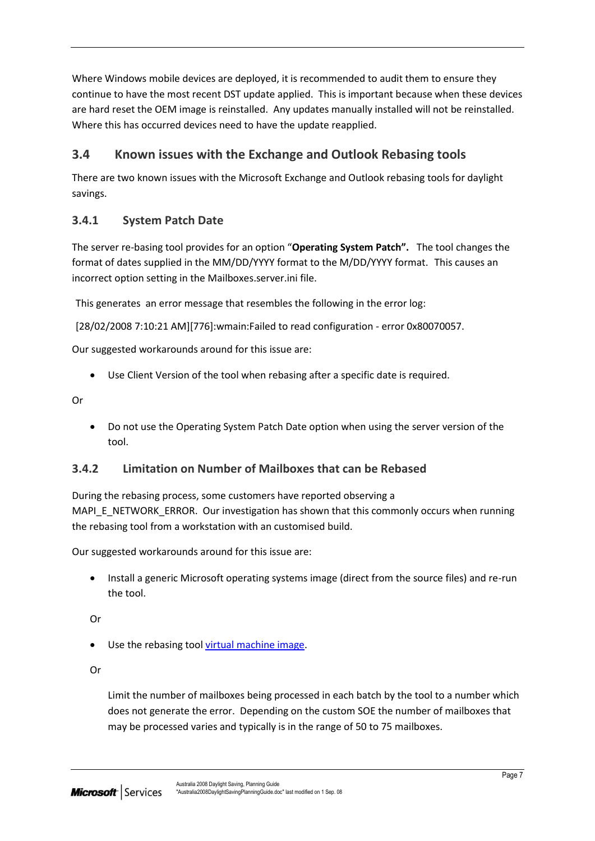Where Windows mobile devices are deployed, it is recommended to audit them to ensure they continue to have the most recent DST update applied. This is important because when these devices are hard reset the OEM image is reinstalled. Any updates manually installed will not be reinstalled. Where this has occurred devices need to have the update reapplied.

## <span id="page-8-0"></span>**3.4 Known issues with the Exchange and Outlook Rebasing tools**

There are two known issues with the Microsoft Exchange and Outlook rebasing tools for daylight savings.

## <span id="page-8-1"></span>**3.4.1 System Patch Date**

The server re-basing tool provides for an option "**Operating System Patch".** The tool changes the format of dates supplied in the MM/DD/YYYY format to the M/DD/YYYY format. This causes an incorrect option setting in the Mailboxes.server.ini file.

This generates an error message that resembles the following in the error log:

[28/02/2008 7:10:21 AM][776]:wmain:Failed to read configuration - error 0x80070057.

Our suggested workarounds around for this issue are:

Use Client Version of the tool when rebasing after a specific date is required.

Or

 Do not use the Operating System Patch Date option when using the server version of the tool.

### <span id="page-8-2"></span>**3.4.2 Limitation on Number of Mailboxes that can be Rebased**

During the rebasing process, some customers have reported observing a MAPI\_E\_NETWORK\_ERROR. Our investigation has shown that this commonly occurs when running the rebasing tool from a workstation with an customised build.

Our suggested workarounds around for this issue are:

 Install a generic Microsoft operating systems image (direct from the source files) and re-run the tool.

Or

• Use the rebasing tool [virtual machine image.](http://support.microsoft.com/kb/933185/)

Or

Limit the number of mailboxes being processed in each batch by the tool to a number which does not generate the error. Depending on the custom SOE the number of mailboxes that may be processed varies and typically is in the range of 50 to 75 mailboxes.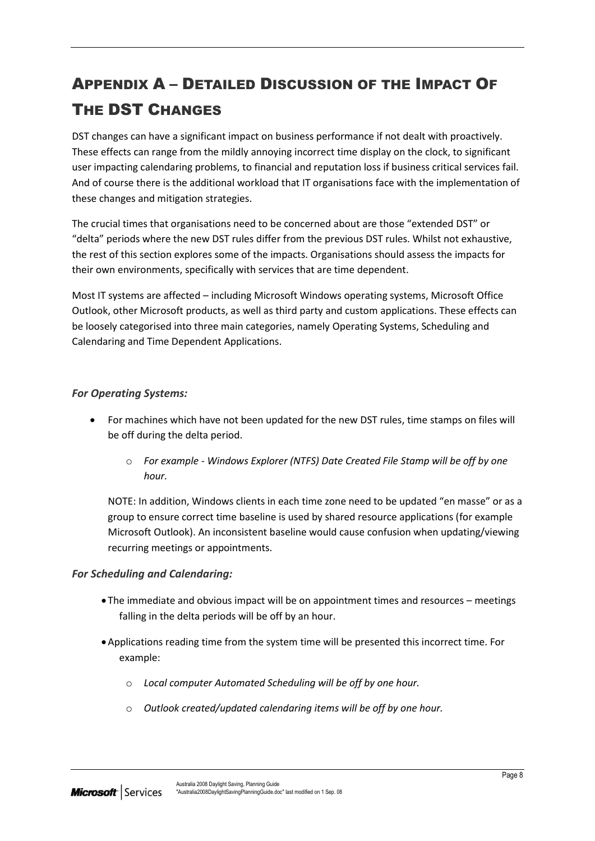# <span id="page-9-0"></span>APPENDIX A – DETAILED DISCUSSION OF THE IMPACT OF THE DST CHANGES

DST changes can have a significant impact on business performance if not dealt with proactively. These effects can range from the mildly annoying incorrect time display on the clock, to significant user impacting calendaring problems, to financial and reputation loss if business critical services fail. And of course there is the additional workload that IT organisations face with the implementation of these changes and mitigation strategies.

The crucial times that organisations need to be concerned about are those "extended DST" or "delta" periods where the new DST rules differ from the previous DST rules. Whilst not exhaustive, the rest of this section explores some of the impacts. Organisations should assess the impacts for their own environments, specifically with services that are time dependent.

Most IT systems are affected – including Microsoft Windows operating systems, Microsoft Office Outlook, other Microsoft products, as well as third party and custom applications. These effects can be loosely categorised into three main categories, namely Operating Systems, Scheduling and Calendaring and Time Dependent Applications.

#### *For Operating Systems:*

- For machines which have not been updated for the new DST rules, time stamps on files will be off during the delta period.
	- o *For example - Windows Explorer (NTFS) Date Created File Stamp will be off by one hour.*

NOTE: In addition, Windows clients in each time zone need to be updated "en masse" or as a group to ensure correct time baseline is used by shared resource applications (for example Microsoft Outlook). An inconsistent baseline would cause confusion when updating/viewing recurring meetings or appointments.

#### *For Scheduling and Calendaring:*

- The immediate and obvious impact will be on appointment times and resources meetings falling in the delta periods will be off by an hour.
- Applications reading time from the system time will be presented this incorrect time. For example:
	- o *Local computer Automated Scheduling will be off by one hour.*
	- o *Outlook created/updated calendaring items will be off by one hour.*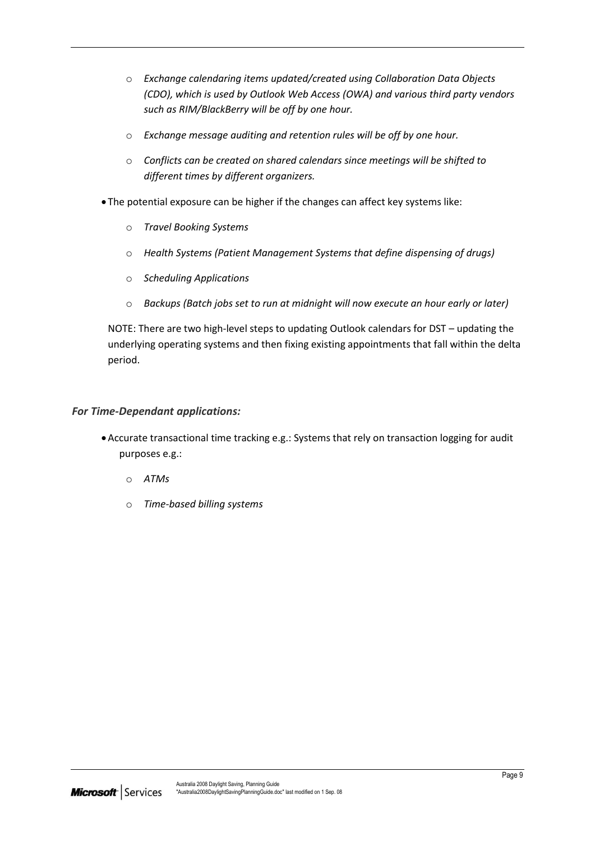- o *Exchange calendaring items updated/created using Collaboration Data Objects (CDO), which is used by Outlook Web Access (OWA) and various third party vendors such as RIM/BlackBerry will be off by one hour.*
- o *Exchange message auditing and retention rules will be off by one hour.*
- o *Conflicts can be created on shared calendars since meetings will be shifted to different times by different organizers.*
- The potential exposure can be higher if the changes can affect key systems like:
	- o *Travel Booking Systems*
	- o *Health Systems (Patient Management Systems that define dispensing of drugs)*
	- o *Scheduling Applications*
	- o *Backups (Batch jobs set to run at midnight will now execute an hour early or later)*

NOTE: There are two high-level steps to updating Outlook calendars for DST – updating the underlying operating systems and then fixing existing appointments that fall within the delta period.

#### *For Time-Dependant applications:*

- Accurate transactional time tracking e.g.: Systems that rely on transaction logging for audit purposes e.g.:
	- o *ATMs*
	- o *Time-based billing systems*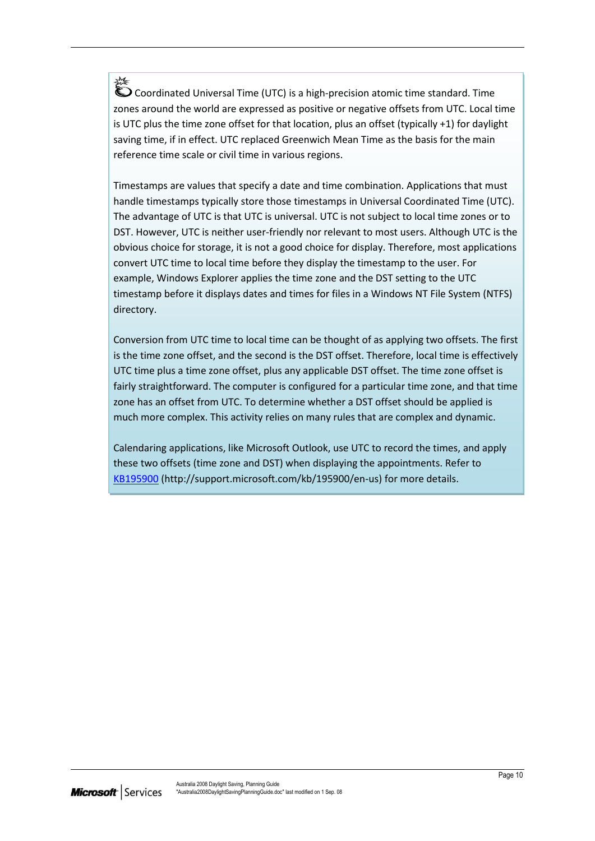淼 Coordinated Universal Time (UTC) is a high-precision atomic time standard. Time zones around the world are expressed as positive or negative offsets from UTC. Local time is UTC plus the time zone offset for that location, plus an offset (typically +1) for daylight saving time, if in effect. UTC replaced Greenwich Mean Time as the basis for the main reference time scale or civil time in various regions.

Timestamps are values that specify a date and time combination. Applications that must handle timestamps typically store those timestamps in Universal Coordinated Time (UTC). The advantage of UTC is that UTC is universal. UTC is not subject to local time zones or to DST. However, UTC is neither user-friendly nor relevant to most users. Although UTC is the obvious choice for storage, it is not a good choice for display. Therefore, most applications convert UTC time to local time before they display the timestamp to the user. For example, Windows Explorer applies the time zone and the DST setting to the UTC timestamp before it displays dates and times for files in a Windows NT File System (NTFS) directory.

Conversion from UTC time to local time can be thought of as applying two offsets. The first is the time zone offset, and the second is the DST offset. Therefore, local time is effectively UTC time plus a time zone offset, plus any applicable DST offset. The time zone offset is fairly straightforward. The computer is configured for a particular time zone, and that time zone has an offset from UTC. To determine whether a DST offset should be applied is much more complex. This activity relies on many rules that are complex and dynamic.

Calendaring applications, like Microsoft Outlook, use UTC to record the times, and apply these two offsets (time zone and DST) when displaying the appointments. Refer to [KB195900](http://support.microsoft.com/kb/195900/en-us) (http://support.microsoft.com/kb/195900/en-us) for more details.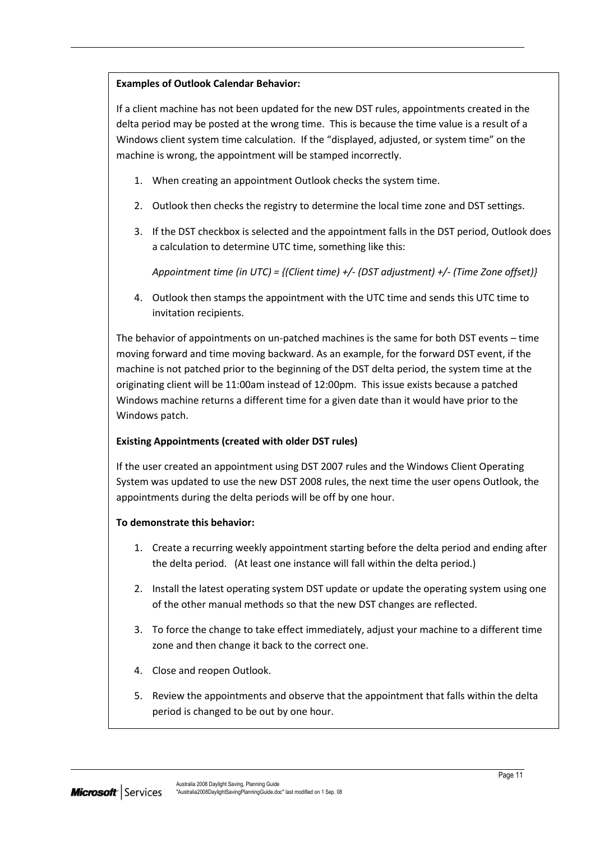#### **Examples of Outlook Calendar Behavior:**

If a client machine has not been updated for the new DST rules, appointments created in the delta period may be posted at the wrong time. This is because the time value is a result of a Windows client system time calculation. If the "displayed, adjusted, or system time" on the machine is wrong, the appointment will be stamped incorrectly.

- 1. When creating an appointment Outlook checks the system time.
- 2. Outlook then checks the registry to determine the local time zone and DST settings.
- 3. If the DST checkbox is selected and the appointment falls in the DST period, Outlook does a calculation to determine UTC time, something like this:

*Appointment time (in UTC) = {(Client time) +/- (DST adjustment) +/- (Time Zone offset)}*

4. Outlook then stamps the appointment with the UTC time and sends this UTC time to invitation recipients.

The behavior of appointments on un-patched machines is the same for both DST events – time moving forward and time moving backward. As an example, for the forward DST event, if the machine is not patched prior to the beginning of the DST delta period, the system time at the originating client will be 11:00am instead of 12:00pm. This issue exists because a patched Windows machine returns a different time for a given date than it would have prior to the Windows patch.

#### **Existing Appointments (created with older DST rules)**

If the user created an appointment using DST 2007 rules and the Windows Client Operating System was updated to use the new DST 2008 rules, the next time the user opens Outlook, the appointments during the delta periods will be off by one hour.

#### **To demonstrate this behavior:**

- 1. Create a recurring weekly appointment starting before the delta period and ending after the delta period. (At least one instance will fall within the delta period.)
- 2. Install the latest operating system DST update or update the operating system using one of the other manual methods so that the new DST changes are reflected.
- 3. To force the change to take effect immediately, adjust your machine to a different time zone and then change it back to the correct one.
- 4. Close and reopen Outlook.
- 5. Review the appointments and observe that the appointment that falls within the delta period is changed to be out by one hour.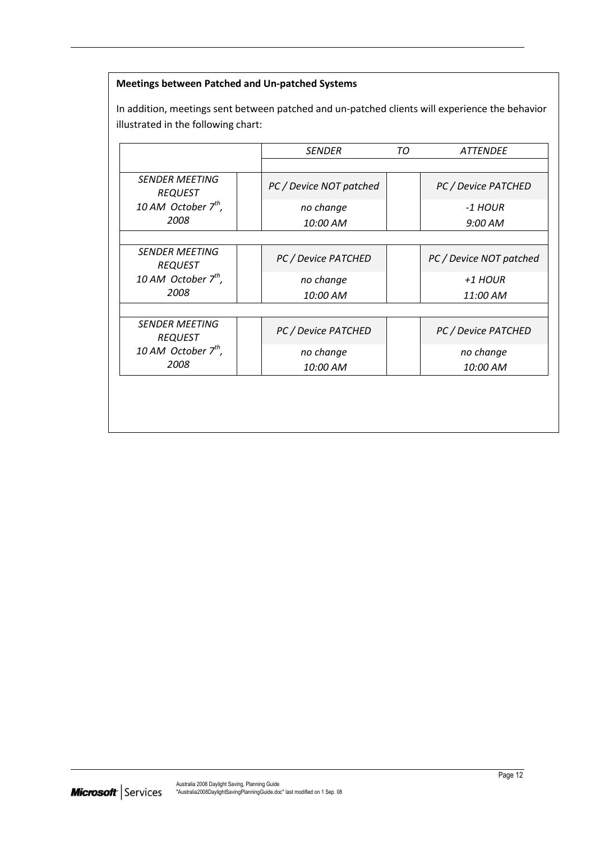#### **Meetings between Patched and Un-patched Systems**

In addition, meetings sent between patched and un-patched clients will experience the behavior illustrated in the following chart:

|                                         | <b>SENDER</b>           | TО | <b>ATTENDEE</b>         |
|-----------------------------------------|-------------------------|----|-------------------------|
|                                         |                         |    |                         |
| <b>SENDER MEETING</b><br><b>REQUEST</b> | PC / Device NOT patched |    | PC / Device PATCHED     |
| 10 AM October $7^{th}$ ,                | no change               |    | -1 HOUR                 |
| 2008                                    | 10:00 AM                |    | $9:00$ AM               |
|                                         |                         |    |                         |
| <b>SENDER MEETING</b><br><b>REQUEST</b> | PC / Device PATCHED     |    | PC / Device NOT patched |
| 10 AM October $7^{th}$ ,                | no change               |    | +1 HOUR                 |
| 2008                                    | 10:00 AM                |    | 11:00 AM                |
|                                         |                         |    |                         |
| <b>SENDER MEETING</b><br><b>REQUEST</b> | PC / Device PATCHED     |    | PC / Device PATCHED     |
| 10 AM October $7^{th}$ ,                | no change               |    | no change               |
| 2008                                    | 10:00 AM                |    | 10:00 AM                |
|                                         |                         |    |                         |
|                                         |                         |    |                         |
|                                         |                         |    |                         |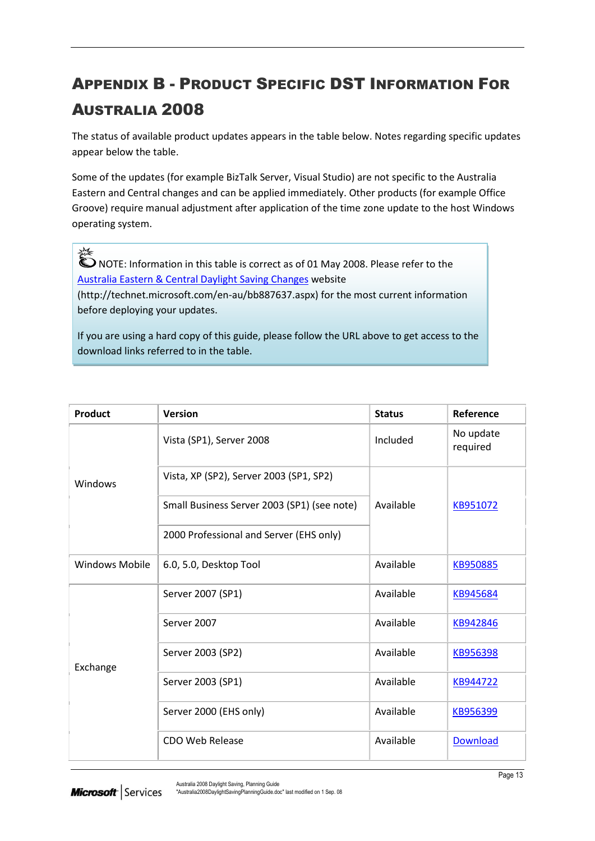# <span id="page-14-0"></span>APPENDIX B - PRODUCT SPECIFIC DST INFORMATION FOR AUSTRALIA 2008

The status of available product updates appears in the table below. Notes regarding specific updates appear below the table.

Some of the updates (for example BizTalk Server, Visual Studio) are not specific to the Australia Eastern and Central changes and can be applied immediately. Other products (for example Office Groove) require manual adjustment after application of the time zone update to the host Windows operating system.

NOTE: Information in this table is correct as of 01 May 2008. Please refer to the [Australia Eastern & Central Daylight Saving Changes](http://technet.microsoft.com/en-au/bb887637.aspx) website

У₹

(http://technet.microsoft.com/en-au/bb887637.aspx) for the most current information before deploying your updates.

If you are using a hard copy of this guide, please follow the URL above to get access to the download links referred to in the table.

| <b>Product</b>        | <b>Version</b>                              | <b>Status</b> | Reference             |
|-----------------------|---------------------------------------------|---------------|-----------------------|
|                       | Vista (SP1), Server 2008                    | Included      | No update<br>required |
| Windows               | Vista, XP (SP2), Server 2003 (SP1, SP2)     |               |                       |
|                       | Small Business Server 2003 (SP1) (see note) | Available     | KB951072              |
|                       | 2000 Professional and Server (EHS only)     |               |                       |
| <b>Windows Mobile</b> | 6.0, 5.0, Desktop Tool                      | Available     | KB950885              |
|                       | Server 2007 (SP1)                           | Available     | KB945684              |
|                       | Server 2007                                 | Available     | KB942846              |
| Exchange              | Server 2003 (SP2)                           | Available     | KB956398              |
|                       | Server 2003 (SP1)                           | Available     | KB944722              |
|                       | Server 2000 (EHS only)                      | Available     | KB956399              |
|                       | <b>CDO Web Release</b>                      | Available     | <b>Download</b>       |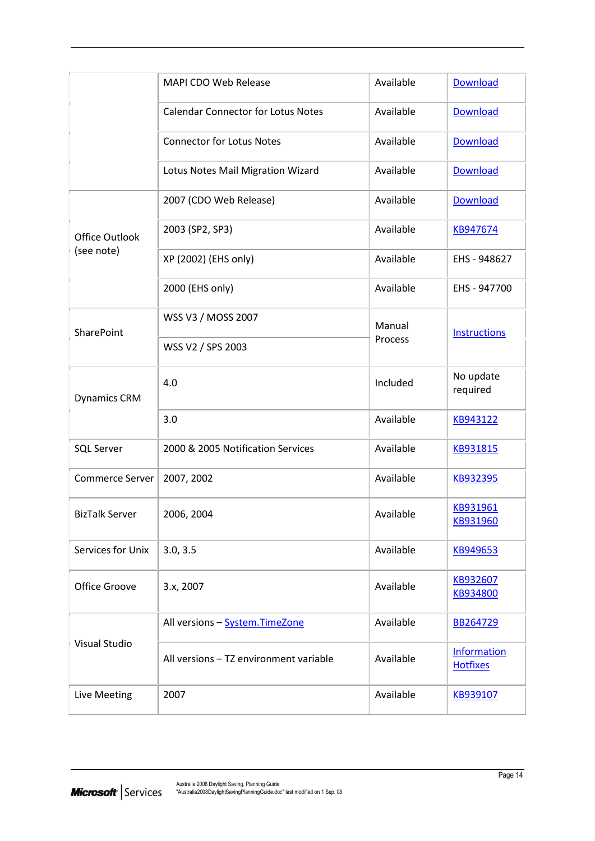|                        | <b>MAPI CDO Web Release</b>               | Available | Download                              |
|------------------------|-------------------------------------------|-----------|---------------------------------------|
|                        | <b>Calendar Connector for Lotus Notes</b> | Available | Download                              |
|                        | <b>Connector for Lotus Notes</b>          | Available | <b>Download</b>                       |
|                        | Lotus Notes Mail Migration Wizard         | Available | <b>Download</b>                       |
|                        | 2007 (CDO Web Release)                    | Available | <b>Download</b>                       |
| <b>Office Outlook</b>  | 2003 (SP2, SP3)                           | Available | KB947674                              |
| (see note)             | XP (2002) (EHS only)                      | Available | EHS - 948627                          |
|                        | 2000 (EHS only)                           | Available | EHS - 947700                          |
| SharePoint             | WSS V3 / MOSS 2007                        | Manual    | <b>Instructions</b>                   |
|                        | WSS V2 / SPS 2003                         | Process   |                                       |
| <b>Dynamics CRM</b>    | 4.0                                       | Included  | No update<br>required                 |
|                        | 3.0                                       | Available | KB943122                              |
| <b>SQL Server</b>      | 2000 & 2005 Notification Services         | Available | KB931815                              |
| <b>Commerce Server</b> | 2007, 2002                                | Available | KB932395                              |
| <b>BizTalk Server</b>  | 2006, 2004                                | Available | KB931961<br>KB931960                  |
| Services for Unix      | 3.0, 3.5                                  | Available | KB949653                              |
| Office Groove          | 3.x, 2007                                 | Available | KB932607<br>KB934800                  |
|                        | All versions - System. TimeZone           | Available | BB264729                              |
| Visual Studio          | All versions - TZ environment variable    | Available | <b>Information</b><br><b>Hotfixes</b> |
| Live Meeting           | 2007                                      | Available | KB939107                              |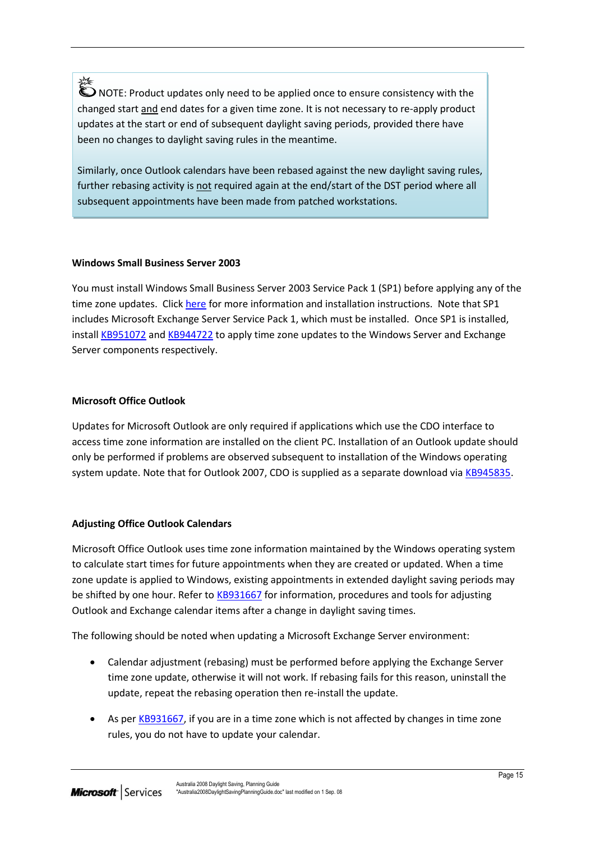兴 NOTE: Product updates only need to be applied once to ensure consistency with the changed start and end dates for a given time zone. It is not necessary to re-apply product updates at the start or end of subsequent daylight saving periods, provided there have been no changes to daylight saving rules in the meantime.

Similarly, once Outlook calendars have been rebased against the new daylight saving rules, further rebasing activity is not required again at the end/start of the DST period where all subsequent appointments have been made from patched workstations.

#### **Windows Small Business Server 2003**

You must install Windows Small Business Server 2003 Service Pack 1 (SP1) before applying any of the time zone updates. Clic[k here](http://www.microsoft.com/downloads/details.aspx?familyid=B6F8A4C0-B707-4161-ADEB-44F1B756119F&displaylang=en) for more information and installation instructions. Note that SP1 includes Microsoft Exchange Server Service Pack 1, which must be installed. Once SP1 is installed, install [KB951072](http://support.microsoft.com/kb/951072) and [KB944722](http://support.microsoft.com/kb/944722) to apply time zone updates to the Windows Server and Exchange Server components respectively.

#### **Microsoft Office Outlook**

Updates for Microsoft Outlook are only required if applications which use the CDO interface to access time zone information are installed on the client PC. Installation of an Outlook update should only be performed if problems are observed subsequent to installation of the Windows operating system update. Note that for Outlook 2007, CDO is supplied as a separate download via [KB945835.](http://support.microsoft.com/kb/945835/en-us)

#### **Adjusting Office Outlook Calendars**

Microsoft Office Outlook uses time zone information maintained by the Windows operating system to calculate start times for future appointments when they are created or updated. When a time zone update is applied to Windows, existing appointments in extended daylight saving periods may be shifted by one hour. Refer to [KB931667](http://support.microsoft.com/kb/931667/) for information, procedures and tools for adjusting Outlook and Exchange calendar items after a change in daylight saving times.

The following should be noted when updating a Microsoft Exchange Server environment:

- Calendar adjustment (rebasing) must be performed before applying the Exchange Server time zone update, otherwise it will not work. If rebasing fails for this reason, uninstall the update, repeat the rebasing operation then re-install the update.
- As pe[r KB931667,](http://support.microsoft.com/kb/931667/) if you are in a time zone which is not affected by changes in time zone rules, you do not have to update your calendar.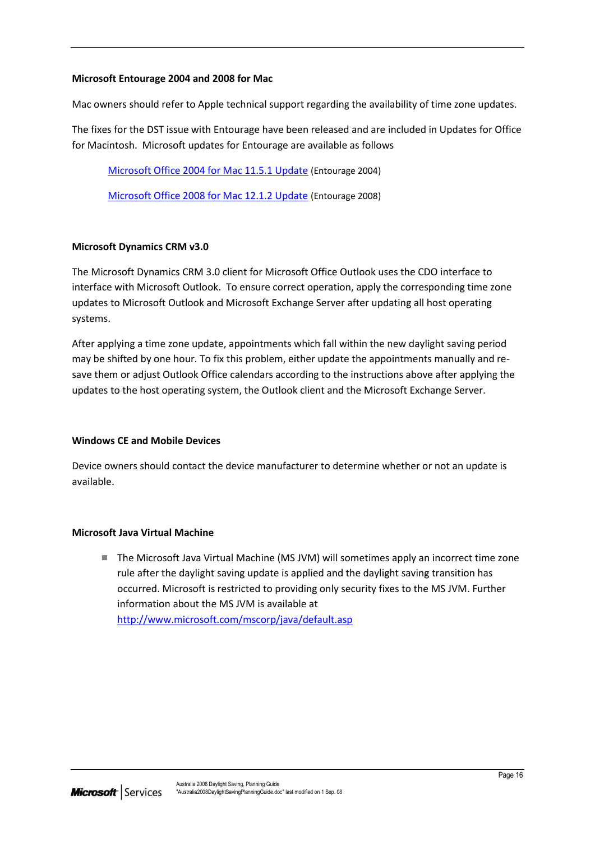#### **Microsoft Entourage 2004 and 2008 for Mac**

Mac owners should refer to Apple technical support regarding the availability of time zone updates.

The fixes for the DST issue with Entourage have been released and are included in Updates for Office for Macintosh. Microsoft updates for Entourage are available as follows

[Microsoft Office 2004 for Mac 11.5.1 Update](http://www.microsoft.com/mac/downloads.mspx?pid=Mactopia_Office2004&fid=EBD3AF0C-3F62-4D18-BF45-881655683BD5) (Entourage 2004)

[Microsoft Office 2008 for Mac 12.1.2 Update](http://www.microsoft.com/mac/downloads.mspx?pid=Mactopia_Office2004&fid=EBD3AF0C-3F62-4D18-BF45-881655683BD5#viewer) (Entourage 2008)

#### **Microsoft Dynamics CRM v3.0**

The Microsoft Dynamics CRM 3.0 client for Microsoft Office Outlook uses the CDO interface to interface with Microsoft Outlook. To ensure correct operation, apply the corresponding time zone updates to Microsoft Outlook and Microsoft Exchange Server after updating all host operating systems.

After applying a time zone update, appointments which fall within the new daylight saving period may be shifted by one hour. To fix this problem, either update the appointments manually and resave them or adjust Outlook Office calendars according to the instructions above after applying the updates to the host operating system, the Outlook client and the Microsoft Exchange Server.

#### **Windows CE and Mobile Devices**

Device owners should contact the device manufacturer to determine whether or not an update is available.

#### **Microsoft Java Virtual Machine**

■ The Microsoft Java Virtual Machine (MS JVM) will sometimes apply an incorrect time zone rule after the daylight saving update is applied and the daylight saving transition has occurred. Microsoft is restricted to providing only security fixes to the MS JVM. Further information about the MS JVM is available at <http://www.microsoft.com/mscorp/java/default.asp>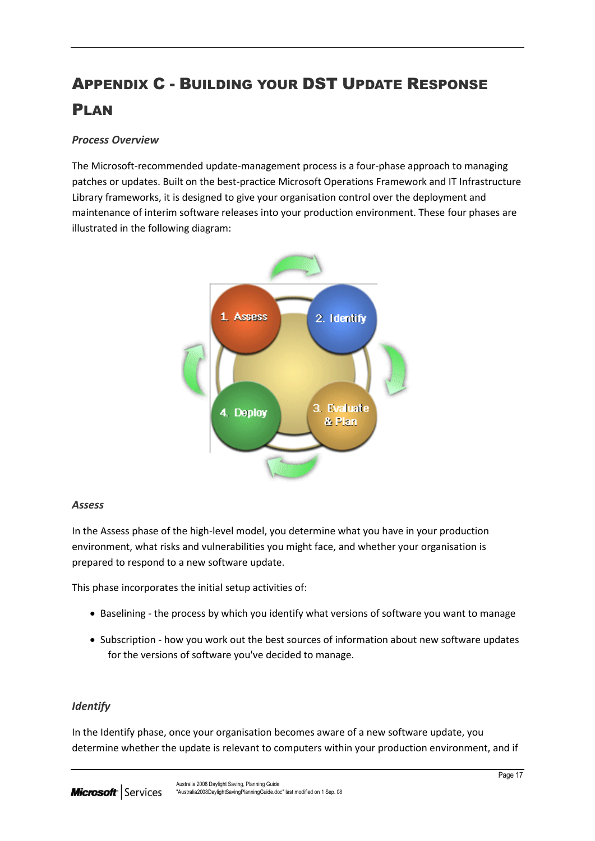# <span id="page-18-0"></span>APPENDIX C - BUILDING YOUR DST UPDATE RESPONSE PLAN

#### *Process Overview*

The Microsoft-recommended update-management process is a four-phase approach to managing patches or updates. Built on the best-practice Microsoft Operations Framework and IT Infrastructure Library frameworks, it is designed to give your organisation control over the deployment and maintenance of interim software releases into your production environment. These four phases are illustrated in the following diagram:



#### *Assess*

In the Assess phase of the high-level model, you determine what you have in your production environment, what risks and vulnerabilities you might face, and whether your organisation is prepared to respond to a new software update.

This phase incorporates the initial setup activities of:

- Baselining the process by which you identify what versions of software you want to manage
- Subscription how you work out the best sources of information about new software updates for the versions of software you've decided to manage.

#### *Identify*

In the Identify phase, once your organisation becomes aware of a new software update, you determine whether the update is relevant to computers within your production environment, and if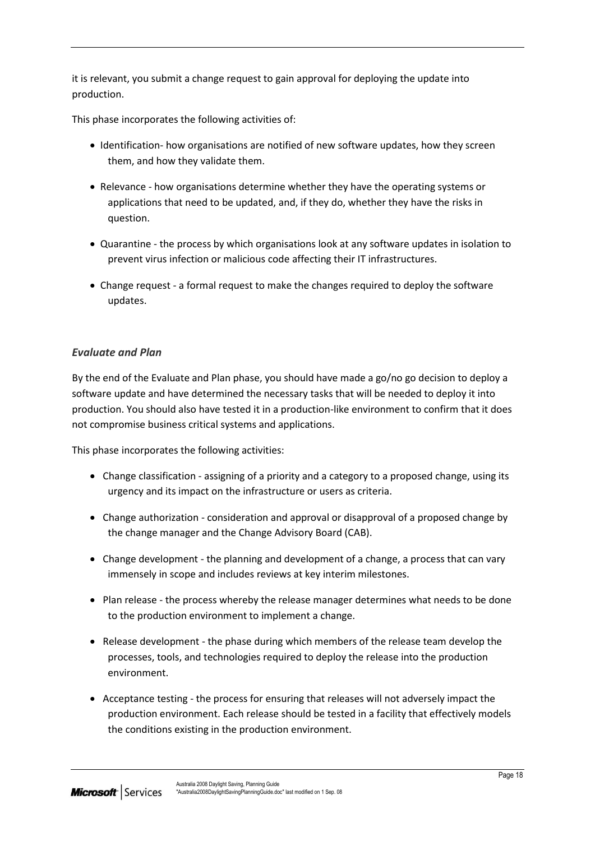it is relevant, you submit a change request to gain approval for deploying the update into production.

This phase incorporates the following activities of:

- Identification- how organisations are notified of new software updates, how they screen them, and how they validate them.
- Relevance how organisations determine whether they have the operating systems or applications that need to be updated, and, if they do, whether they have the risks in question.
- Quarantine the process by which organisations look at any software updates in isolation to prevent virus infection or malicious code affecting their IT infrastructures.
- Change request a formal request to make the changes required to deploy the software updates.

#### *Evaluate and Plan*

By the end of the Evaluate and Plan phase, you should have made a go/no go decision to deploy a software update and have determined the necessary tasks that will be needed to deploy it into production. You should also have tested it in a production-like environment to confirm that it does not compromise business critical systems and applications.

This phase incorporates the following activities:

- Change classification assigning of a priority and a category to a proposed change, using its urgency and its impact on the infrastructure or users as criteria.
- Change authorization consideration and approval or disapproval of a proposed change by the change manager and the Change Advisory Board (CAB).
- Change development the planning and development of a change, a process that can vary immensely in scope and includes reviews at key interim milestones.
- Plan release the process whereby the release manager determines what needs to be done to the production environment to implement a change.
- Release development the phase during which members of the release team develop the processes, tools, and technologies required to deploy the release into the production environment.
- Acceptance testing the process for ensuring that releases will not adversely impact the production environment. Each release should be tested in a facility that effectively models the conditions existing in the production environment.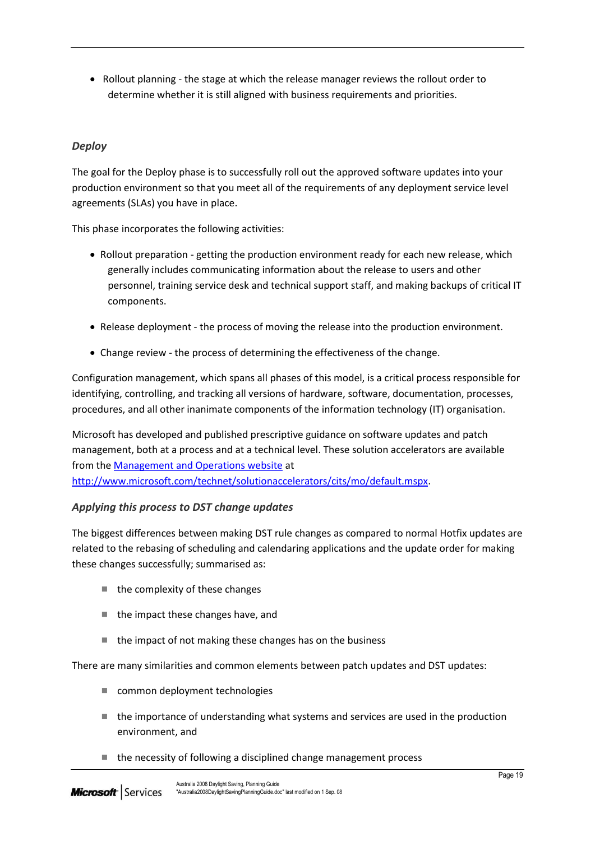• Rollout planning - the stage at which the release manager reviews the rollout order to determine whether it is still aligned with business requirements and priorities.

#### *Deploy*

The goal for the Deploy phase is to successfully roll out the approved software updates into your production environment so that you meet all of the requirements of any deployment service level agreements (SLAs) you have in place.

This phase incorporates the following activities:

- Rollout preparation getting the production environment ready for each new release, which generally includes communicating information about the release to users and other personnel, training service desk and technical support staff, and making backups of critical IT components.
- Release deployment the process of moving the release into the production environment.
- Change review the process of determining the effectiveness of the change.

Configuration management, which spans all phases of this model, is a critical process responsible for identifying, controlling, and tracking all versions of hardware, software, documentation, processes, procedures, and all other inanimate components of the information technology (IT) organisation.

Microsoft has developed and published prescriptive guidance on software updates and patch management, both at a process and at a technical level. These solution accelerators are available from th[e Management and Operations website](http://www.microsoft.com/technet/solutionaccelerators/cits/mo/default.mspx) at [http://www.microsoft.com/technet/solutionaccelerators/cits/mo/default.mspx.](http://www.microsoft.com/technet/solutionaccelerators/cits/mo/default.mspx)

#### *Applying this process to DST change updates*

The biggest differences between making DST rule changes as compared to normal Hotfix updates are related to the rebasing of scheduling and calendaring applications and the update order for making these changes successfully; summarised as:

- $\blacksquare$  the complexity of these changes
- $\blacksquare$  the impact these changes have, and
- the impact of not making these changes has on the business

There are many similarities and common elements between patch updates and DST updates:

- common deployment technologies
- $\blacksquare$  the importance of understanding what systems and services are used in the production environment, and
- $\blacksquare$  the necessity of following a disciplined change management process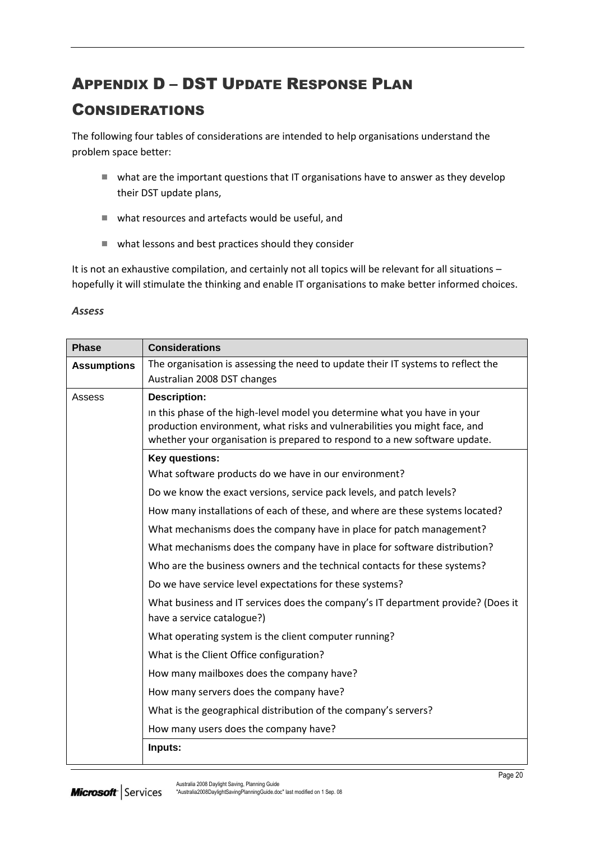# <span id="page-21-0"></span>APPENDIX D – DST UPDATE RESPONSE PLAN

## CONSIDERATIONS

The following four tables of considerations are intended to help organisations understand the problem space better:

- what are the important questions that IT organisations have to answer as they develop their DST update plans,
- what resources and artefacts would be useful, and
- what lessons and best practices should they consider

It is not an exhaustive compilation, and certainly not all topics will be relevant for all situations – hopefully it will stimulate the thinking and enable IT organisations to make better informed choices.

#### *Assess*

| <b>Phase</b>       | <b>Considerations</b>                                                                                                                                                                                                                 |
|--------------------|---------------------------------------------------------------------------------------------------------------------------------------------------------------------------------------------------------------------------------------|
| <b>Assumptions</b> | The organisation is assessing the need to update their IT systems to reflect the                                                                                                                                                      |
|                    | Australian 2008 DST changes                                                                                                                                                                                                           |
| Assess             | <b>Description:</b>                                                                                                                                                                                                                   |
|                    | In this phase of the high-level model you determine what you have in your<br>production environment, what risks and vulnerabilities you might face, and<br>whether your organisation is prepared to respond to a new software update. |
|                    | Key questions:                                                                                                                                                                                                                        |
|                    | What software products do we have in our environment?                                                                                                                                                                                 |
|                    | Do we know the exact versions, service pack levels, and patch levels?                                                                                                                                                                 |
|                    | How many installations of each of these, and where are these systems located?                                                                                                                                                         |
|                    | What mechanisms does the company have in place for patch management?                                                                                                                                                                  |
|                    | What mechanisms does the company have in place for software distribution?                                                                                                                                                             |
|                    | Who are the business owners and the technical contacts for these systems?                                                                                                                                                             |
|                    | Do we have service level expectations for these systems?                                                                                                                                                                              |
|                    | What business and IT services does the company's IT department provide? (Does it<br>have a service catalogue?)                                                                                                                        |
|                    | What operating system is the client computer running?                                                                                                                                                                                 |
|                    | What is the Client Office configuration?                                                                                                                                                                                              |
|                    | How many mailboxes does the company have?                                                                                                                                                                                             |
|                    | How many servers does the company have?                                                                                                                                                                                               |
|                    | What is the geographical distribution of the company's servers?                                                                                                                                                                       |
|                    | How many users does the company have?                                                                                                                                                                                                 |
|                    | Inputs:                                                                                                                                                                                                                               |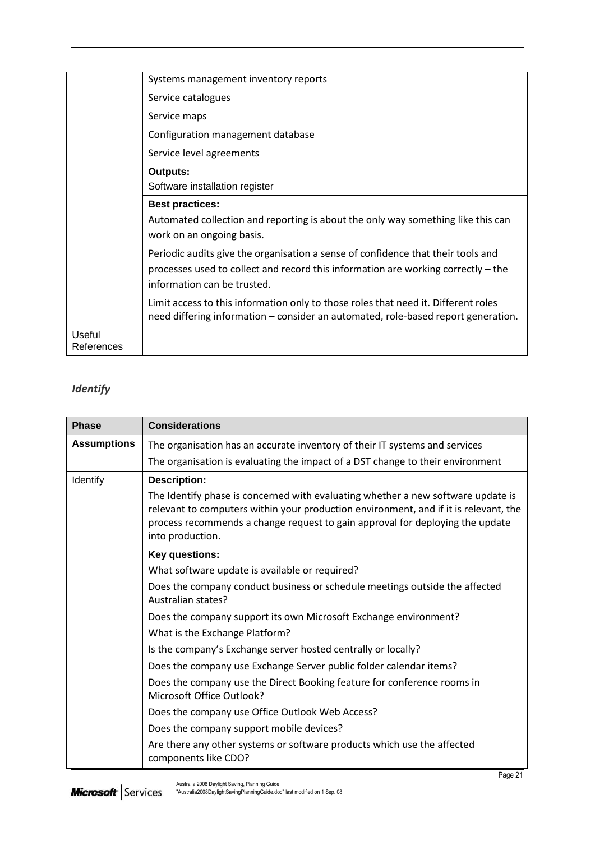|                      | Systems management inventory reports                                                                                                                                                                 |
|----------------------|------------------------------------------------------------------------------------------------------------------------------------------------------------------------------------------------------|
|                      | Service catalogues                                                                                                                                                                                   |
|                      | Service maps                                                                                                                                                                                         |
|                      | Configuration management database                                                                                                                                                                    |
|                      | Service level agreements                                                                                                                                                                             |
|                      | <b>Outputs:</b>                                                                                                                                                                                      |
|                      | Software installation register                                                                                                                                                                       |
|                      | <b>Best practices:</b>                                                                                                                                                                               |
|                      | Automated collection and reporting is about the only way something like this can<br>work on an ongoing basis.                                                                                        |
|                      | Periodic audits give the organisation a sense of confidence that their tools and<br>processes used to collect and record this information are working correctly – the<br>information can be trusted. |
|                      | Limit access to this information only to those roles that need it. Different roles<br>need differing information - consider an automated, role-based report generation.                              |
| Useful<br>References |                                                                                                                                                                                                      |

### *Identify*

| <b>Phase</b>       | <b>Considerations</b>                                                                                                                                                                                                                                                         |
|--------------------|-------------------------------------------------------------------------------------------------------------------------------------------------------------------------------------------------------------------------------------------------------------------------------|
| <b>Assumptions</b> | The organisation has an accurate inventory of their IT systems and services                                                                                                                                                                                                   |
|                    | The organisation is evaluating the impact of a DST change to their environment                                                                                                                                                                                                |
| Identify           | <b>Description:</b>                                                                                                                                                                                                                                                           |
|                    | The Identify phase is concerned with evaluating whether a new software update is<br>relevant to computers within your production environment, and if it is relevant, the<br>process recommends a change request to gain approval for deploying the update<br>into production. |
|                    | Key questions:                                                                                                                                                                                                                                                                |
|                    | What software update is available or required?                                                                                                                                                                                                                                |
|                    | Does the company conduct business or schedule meetings outside the affected<br>Australian states?                                                                                                                                                                             |
|                    | Does the company support its own Microsoft Exchange environment?                                                                                                                                                                                                              |
|                    | What is the Exchange Platform?                                                                                                                                                                                                                                                |
|                    | Is the company's Exchange server hosted centrally or locally?                                                                                                                                                                                                                 |
|                    | Does the company use Exchange Server public folder calendar items?                                                                                                                                                                                                            |
|                    | Does the company use the Direct Booking feature for conference rooms in<br>Microsoft Office Outlook?                                                                                                                                                                          |
|                    | Does the company use Office Outlook Web Access?                                                                                                                                                                                                                               |
|                    | Does the company support mobile devices?                                                                                                                                                                                                                                      |
|                    | Are there any other systems or software products which use the affected<br>components like CDO?                                                                                                                                                                               |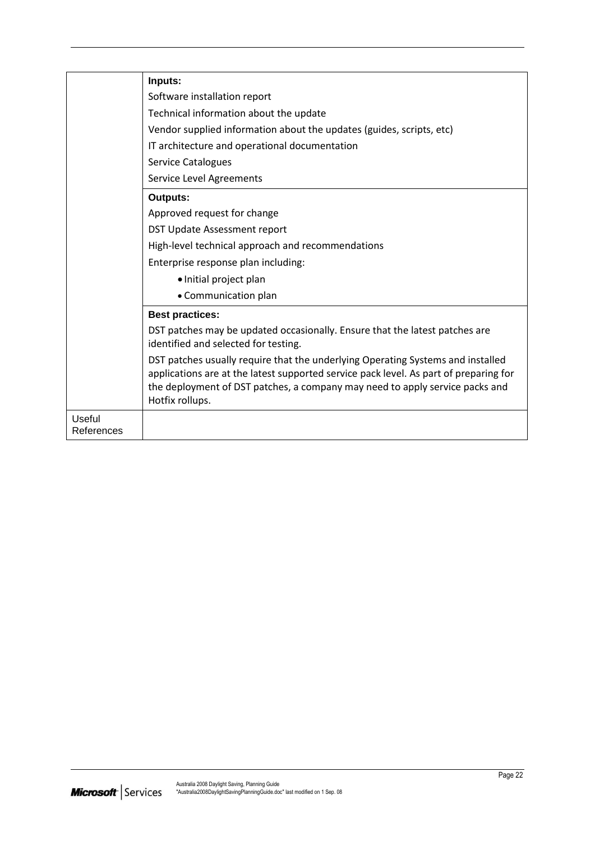|                             | Inputs:                                                                                                                                                                                                                                                                     |
|-----------------------------|-----------------------------------------------------------------------------------------------------------------------------------------------------------------------------------------------------------------------------------------------------------------------------|
|                             | Software installation report                                                                                                                                                                                                                                                |
|                             | Technical information about the update                                                                                                                                                                                                                                      |
|                             | Vendor supplied information about the updates (guides, scripts, etc)                                                                                                                                                                                                        |
|                             | IT architecture and operational documentation                                                                                                                                                                                                                               |
|                             | <b>Service Catalogues</b>                                                                                                                                                                                                                                                   |
|                             | <b>Service Level Agreements</b>                                                                                                                                                                                                                                             |
|                             | <b>Outputs:</b>                                                                                                                                                                                                                                                             |
|                             | Approved request for change                                                                                                                                                                                                                                                 |
|                             | DST Update Assessment report                                                                                                                                                                                                                                                |
|                             | High-level technical approach and recommendations                                                                                                                                                                                                                           |
|                             | Enterprise response plan including:                                                                                                                                                                                                                                         |
|                             | · Initial project plan                                                                                                                                                                                                                                                      |
|                             | • Communication plan                                                                                                                                                                                                                                                        |
|                             | <b>Best practices:</b>                                                                                                                                                                                                                                                      |
|                             | DST patches may be updated occasionally. Ensure that the latest patches are<br>identified and selected for testing.                                                                                                                                                         |
|                             | DST patches usually require that the underlying Operating Systems and installed<br>applications are at the latest supported service pack level. As part of preparing for<br>the deployment of DST patches, a company may need to apply service packs and<br>Hotfix rollups. |
| <b>Useful</b><br>References |                                                                                                                                                                                                                                                                             |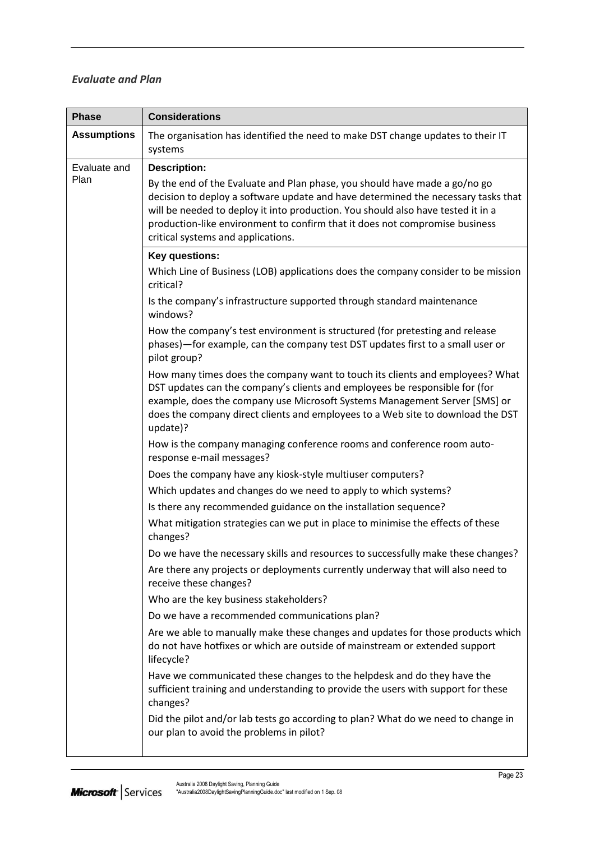#### *Evaluate and Plan*

| <b>Phase</b>         | <b>Considerations</b>                                                                                                                                                                                                                                                                                                                                                    |
|----------------------|--------------------------------------------------------------------------------------------------------------------------------------------------------------------------------------------------------------------------------------------------------------------------------------------------------------------------------------------------------------------------|
| <b>Assumptions</b>   | The organisation has identified the need to make DST change updates to their IT<br>systems                                                                                                                                                                                                                                                                               |
| Evaluate and<br>Plan | <b>Description:</b>                                                                                                                                                                                                                                                                                                                                                      |
|                      | By the end of the Evaluate and Plan phase, you should have made a go/no go<br>decision to deploy a software update and have determined the necessary tasks that<br>will be needed to deploy it into production. You should also have tested it in a<br>production-like environment to confirm that it does not compromise business<br>critical systems and applications. |
|                      | Key questions:                                                                                                                                                                                                                                                                                                                                                           |
|                      | Which Line of Business (LOB) applications does the company consider to be mission<br>critical?                                                                                                                                                                                                                                                                           |
|                      | Is the company's infrastructure supported through standard maintenance<br>windows?                                                                                                                                                                                                                                                                                       |
|                      | How the company's test environment is structured (for pretesting and release<br>phases)-for example, can the company test DST updates first to a small user or<br>pilot group?                                                                                                                                                                                           |
|                      | How many times does the company want to touch its clients and employees? What<br>DST updates can the company's clients and employees be responsible for (for<br>example, does the company use Microsoft Systems Management Server [SMS] or<br>does the company direct clients and employees to a Web site to download the DST<br>update)?                                |
|                      | How is the company managing conference rooms and conference room auto-<br>response e-mail messages?                                                                                                                                                                                                                                                                      |
|                      | Does the company have any kiosk-style multiuser computers?                                                                                                                                                                                                                                                                                                               |
|                      | Which updates and changes do we need to apply to which systems?                                                                                                                                                                                                                                                                                                          |
|                      | Is there any recommended guidance on the installation sequence?                                                                                                                                                                                                                                                                                                          |
|                      | What mitigation strategies can we put in place to minimise the effects of these<br>changes?                                                                                                                                                                                                                                                                              |
|                      | Do we have the necessary skills and resources to successfully make these changes?                                                                                                                                                                                                                                                                                        |
|                      | Are there any projects or deployments currently underway that will also need to<br>receive these changes?                                                                                                                                                                                                                                                                |
|                      | Who are the key business stakeholders?                                                                                                                                                                                                                                                                                                                                   |
|                      | Do we have a recommended communications plan?                                                                                                                                                                                                                                                                                                                            |
|                      | Are we able to manually make these changes and updates for those products which<br>do not have hotfixes or which are outside of mainstream or extended support<br>lifecycle?                                                                                                                                                                                             |
|                      | Have we communicated these changes to the helpdesk and do they have the<br>sufficient training and understanding to provide the users with support for these<br>changes?                                                                                                                                                                                                 |
|                      | Did the pilot and/or lab tests go according to plan? What do we need to change in<br>our plan to avoid the problems in pilot?                                                                                                                                                                                                                                            |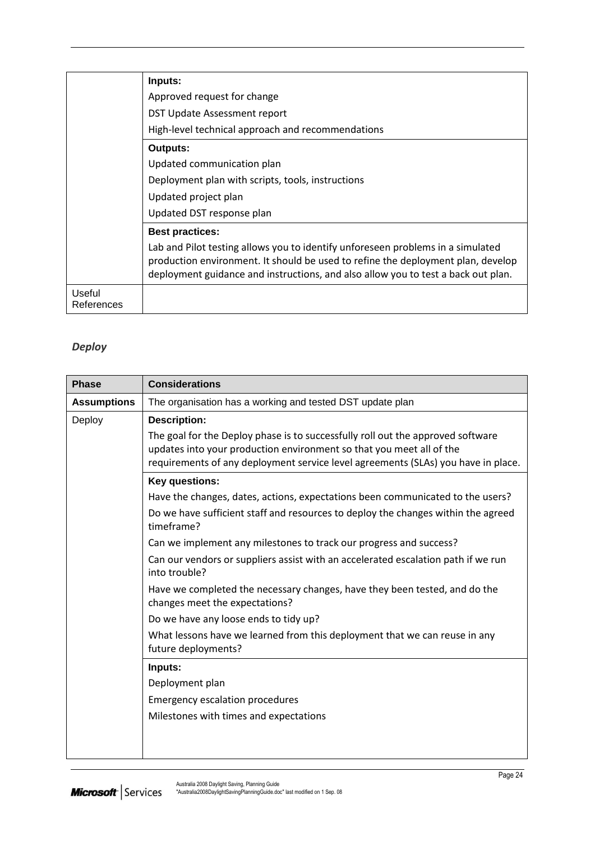|                      | Inputs:                                                                                                                                                                                                                                                  |
|----------------------|----------------------------------------------------------------------------------------------------------------------------------------------------------------------------------------------------------------------------------------------------------|
|                      | Approved request for change                                                                                                                                                                                                                              |
|                      | DST Update Assessment report                                                                                                                                                                                                                             |
|                      | High-level technical approach and recommendations                                                                                                                                                                                                        |
|                      | <b>Outputs:</b>                                                                                                                                                                                                                                          |
|                      | Updated communication plan                                                                                                                                                                                                                               |
|                      | Deployment plan with scripts, tools, instructions                                                                                                                                                                                                        |
|                      | Updated project plan                                                                                                                                                                                                                                     |
|                      | Updated DST response plan                                                                                                                                                                                                                                |
|                      | <b>Best practices:</b>                                                                                                                                                                                                                                   |
|                      | Lab and Pilot testing allows you to identify unforeseen problems in a simulated<br>production environment. It should be used to refine the deployment plan, develop<br>deployment guidance and instructions, and also allow you to test a back out plan. |
| Useful<br>References |                                                                                                                                                                                                                                                          |

### *Deploy*

| <b>Phase</b>       | <b>Considerations</b>                                                                                                                                                                                                                        |
|--------------------|----------------------------------------------------------------------------------------------------------------------------------------------------------------------------------------------------------------------------------------------|
| <b>Assumptions</b> | The organisation has a working and tested DST update plan                                                                                                                                                                                    |
| Deploy             | <b>Description:</b>                                                                                                                                                                                                                          |
|                    | The goal for the Deploy phase is to successfully roll out the approved software<br>updates into your production environment so that you meet all of the<br>requirements of any deployment service level agreements (SLAs) you have in place. |
|                    | Key questions:                                                                                                                                                                                                                               |
|                    | Have the changes, dates, actions, expectations been communicated to the users?                                                                                                                                                               |
|                    | Do we have sufficient staff and resources to deploy the changes within the agreed<br>timeframe?                                                                                                                                              |
|                    | Can we implement any milestones to track our progress and success?                                                                                                                                                                           |
|                    | Can our vendors or suppliers assist with an accelerated escalation path if we run<br>into trouble?                                                                                                                                           |
|                    | Have we completed the necessary changes, have they been tested, and do the<br>changes meet the expectations?                                                                                                                                 |
|                    | Do we have any loose ends to tidy up?                                                                                                                                                                                                        |
|                    | What lessons have we learned from this deployment that we can reuse in any<br>future deployments?                                                                                                                                            |
|                    | Inputs:                                                                                                                                                                                                                                      |
|                    | Deployment plan                                                                                                                                                                                                                              |
|                    | <b>Emergency escalation procedures</b>                                                                                                                                                                                                       |
|                    | Milestones with times and expectations                                                                                                                                                                                                       |
|                    |                                                                                                                                                                                                                                              |
|                    |                                                                                                                                                                                                                                              |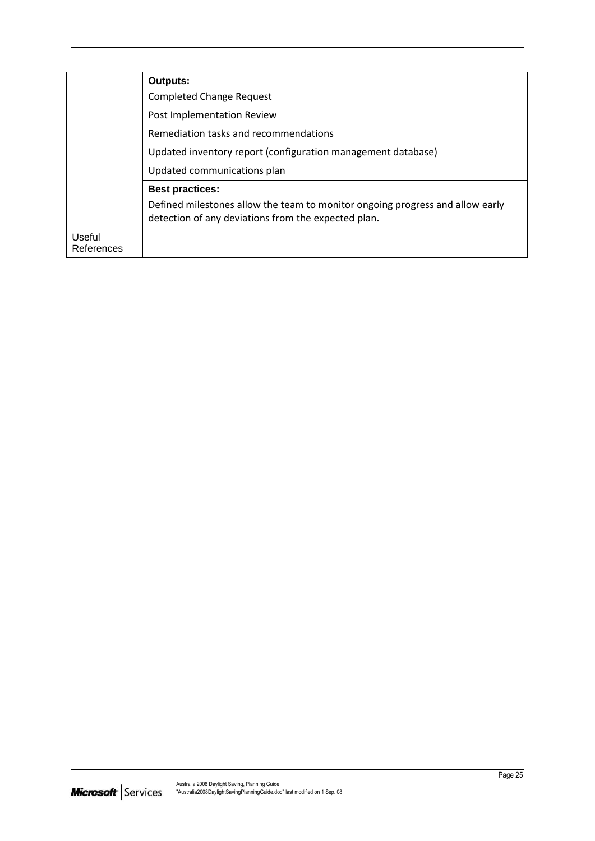|                      | Outputs:                                                                                                                             |
|----------------------|--------------------------------------------------------------------------------------------------------------------------------------|
|                      | <b>Completed Change Request</b>                                                                                                      |
|                      | Post Implementation Review                                                                                                           |
|                      | Remediation tasks and recommendations                                                                                                |
|                      | Updated inventory report (configuration management database)                                                                         |
|                      | Updated communications plan                                                                                                          |
|                      | <b>Best practices:</b>                                                                                                               |
|                      | Defined milestones allow the team to monitor ongoing progress and allow early<br>detection of any deviations from the expected plan. |
| Useful<br>References |                                                                                                                                      |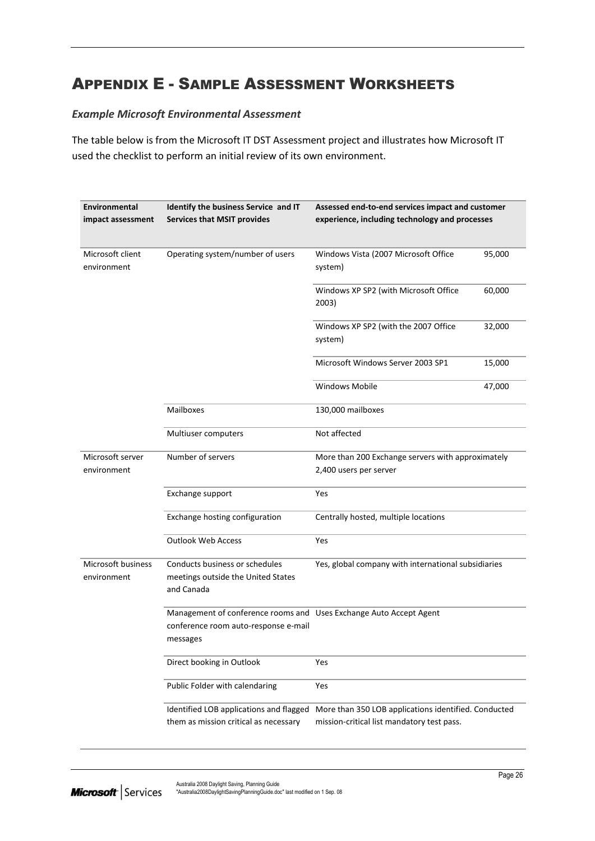# <span id="page-27-0"></span>APPENDIX E - SAMPLE ASSESSMENT WORKSHEETS

#### *Example Microsoft Environmental Assessment*

The table below is from the Microsoft IT DST Assessment project and illustrates how Microsoft IT used the checklist to perform an initial review of its own environment.

| Environmental<br>impact assessment | Identify the business Service and IT<br><b>Services that MSIT provides</b>                                             | Assessed end-to-end services impact and customer<br>experience, including technology and processes |        |
|------------------------------------|------------------------------------------------------------------------------------------------------------------------|----------------------------------------------------------------------------------------------------|--------|
| Microsoft client<br>environment    | Operating system/number of users                                                                                       | Windows Vista (2007 Microsoft Office<br>system)                                                    | 95,000 |
|                                    |                                                                                                                        | Windows XP SP2 (with Microsoft Office<br>2003)                                                     | 60,000 |
|                                    |                                                                                                                        | Windows XP SP2 (with the 2007 Office<br>system)                                                    | 32,000 |
|                                    |                                                                                                                        | Microsoft Windows Server 2003 SP1                                                                  | 15,000 |
|                                    |                                                                                                                        | <b>Windows Mobile</b>                                                                              | 47,000 |
|                                    | Mailboxes                                                                                                              | 130,000 mailboxes                                                                                  |        |
|                                    | Multiuser computers                                                                                                    | Not affected                                                                                       |        |
| Microsoft server<br>environment    | Number of servers                                                                                                      | More than 200 Exchange servers with approximately<br>2,400 users per server                        |        |
|                                    | Exchange support                                                                                                       | Yes                                                                                                |        |
|                                    | Exchange hosting configuration                                                                                         | Centrally hosted, multiple locations                                                               |        |
|                                    | <b>Outlook Web Access</b>                                                                                              | Yes                                                                                                |        |
| Microsoft business<br>environment  | Conducts business or schedules<br>meetings outside the United States<br>and Canada                                     | Yes, global company with international subsidiaries                                                |        |
|                                    | Management of conference rooms and Uses Exchange Auto Accept Agent<br>conference room auto-response e-mail<br>messages |                                                                                                    |        |
|                                    | Direct booking in Outlook                                                                                              | Yes                                                                                                |        |
|                                    | Public Folder with calendaring                                                                                         | Yes                                                                                                |        |
|                                    | Identified LOB applications and flagged<br>them as mission critical as necessary                                       | More than 350 LOB applications identified. Conducted<br>mission-critical list mandatory test pass. |        |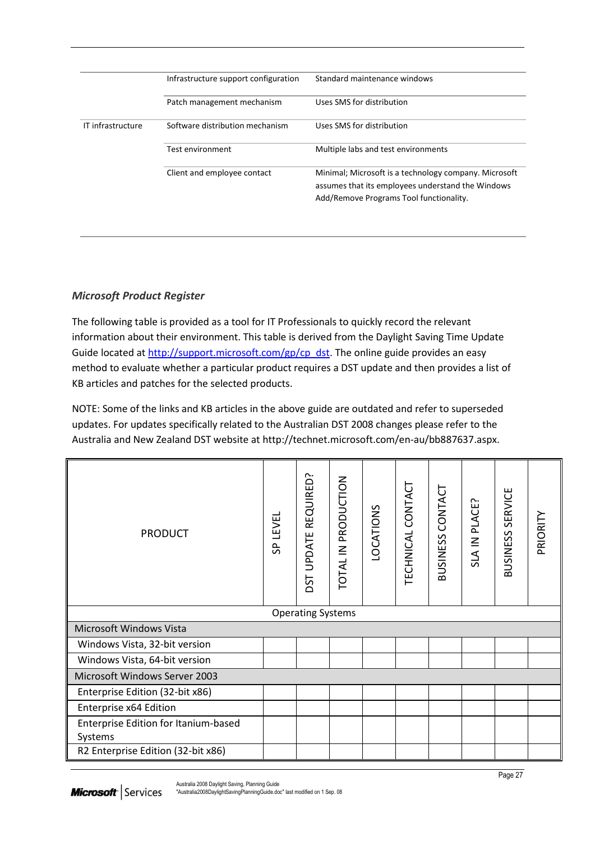|                   | Infrastructure support configuration | Standard maintenance windows                                                                                                                          |
|-------------------|--------------------------------------|-------------------------------------------------------------------------------------------------------------------------------------------------------|
|                   | Patch management mechanism           | Uses SMS for distribution                                                                                                                             |
| IT infrastructure | Software distribution mechanism      | Uses SMS for distribution                                                                                                                             |
|                   | Test environment                     | Multiple labs and test environments                                                                                                                   |
|                   | Client and employee contact          | Minimal; Microsoft is a technology company. Microsoft<br>assumes that its employees understand the Windows<br>Add/Remove Programs Tool functionality. |

### *Microsoft Product Register*

The following table is provided as a tool for IT Professionals to quickly record the relevant information about their environment. This table is derived from the Daylight Saving Time Update Guide located at [http://support.microsoft.com/gp/cp\\_dst.](http://support.microsoft.com/gp/cp_dst) The online guide provides an easy method to evaluate whether a particular product requires a DST update and then provides a list of KB articles and patches for the selected products.

NOTE: Some of the links and KB articles in the above guide are outdated and refer to superseded updates. For updates specifically related to the Australian DST 2008 changes please refer to the Australia and New Zealand DST website at http://technet.microsoft.com/en-au/bb887637.aspx.

| <b>PRODUCT</b>                                  | SP LEVEL                 | REQUIRED?<br><b>DST UPDATE</b> | TOTAL IN PRODUCTION | <b>LOCATIONS</b> | TECHNICAL CONTACT | BUSINESS CONTACT | SLA IN PLACE? | <b>BUSINESS SERVICE</b> | PRIORITY |
|-------------------------------------------------|--------------------------|--------------------------------|---------------------|------------------|-------------------|------------------|---------------|-------------------------|----------|
|                                                 | <b>Operating Systems</b> |                                |                     |                  |                   |                  |               |                         |          |
| Microsoft Windows Vista                         |                          |                                |                     |                  |                   |                  |               |                         |          |
| Windows Vista, 32-bit version                   |                          |                                |                     |                  |                   |                  |               |                         |          |
| Windows Vista, 64-bit version                   |                          |                                |                     |                  |                   |                  |               |                         |          |
| Microsoft Windows Server 2003                   |                          |                                |                     |                  |                   |                  |               |                         |          |
| Enterprise Edition (32-bit x86)                 |                          |                                |                     |                  |                   |                  |               |                         |          |
| Enterprise x64 Edition                          |                          |                                |                     |                  |                   |                  |               |                         |          |
| Enterprise Edition for Itanium-based<br>Systems |                          |                                |                     |                  |                   |                  |               |                         |          |
| R2 Enterprise Edition (32-bit x86)              |                          |                                |                     |                  |                   |                  |               |                         |          |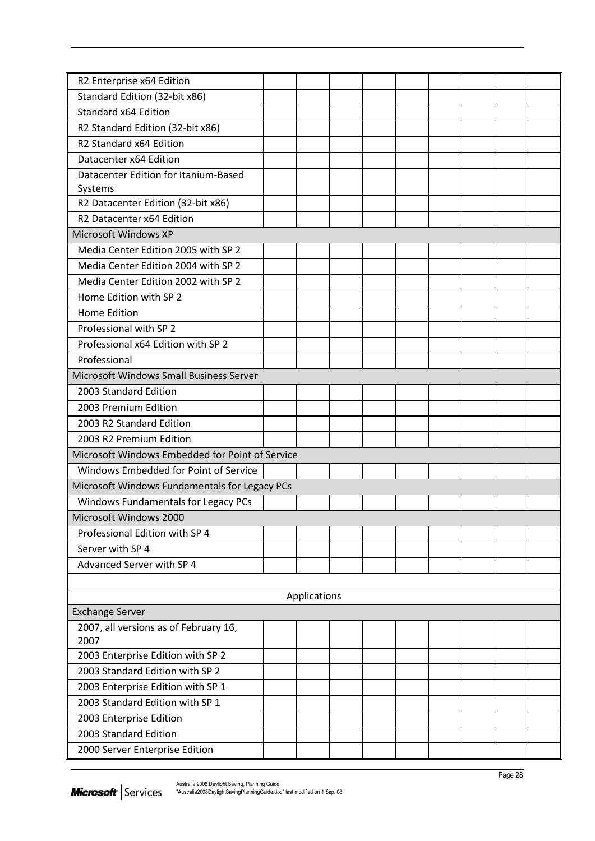| Microsoft Windows Fundamentals for Legacy PCs |  |                                                 |  |  |  |  |  |  |
|-----------------------------------------------|--|-------------------------------------------------|--|--|--|--|--|--|
|                                               |  |                                                 |  |  |  |  |  |  |
|                                               |  |                                                 |  |  |  |  |  |  |
|                                               |  |                                                 |  |  |  |  |  |  |
|                                               |  |                                                 |  |  |  |  |  |  |
|                                               |  |                                                 |  |  |  |  |  |  |
|                                               |  |                                                 |  |  |  |  |  |  |
| Applications                                  |  |                                                 |  |  |  |  |  |  |
|                                               |  |                                                 |  |  |  |  |  |  |
|                                               |  |                                                 |  |  |  |  |  |  |
|                                               |  |                                                 |  |  |  |  |  |  |
|                                               |  |                                                 |  |  |  |  |  |  |
|                                               |  |                                                 |  |  |  |  |  |  |
|                                               |  |                                                 |  |  |  |  |  |  |
|                                               |  |                                                 |  |  |  |  |  |  |
|                                               |  |                                                 |  |  |  |  |  |  |
|                                               |  |                                                 |  |  |  |  |  |  |
|                                               |  |                                                 |  |  |  |  |  |  |
|                                               |  | Microsoft Windows Embedded for Point of Service |  |  |  |  |  |  |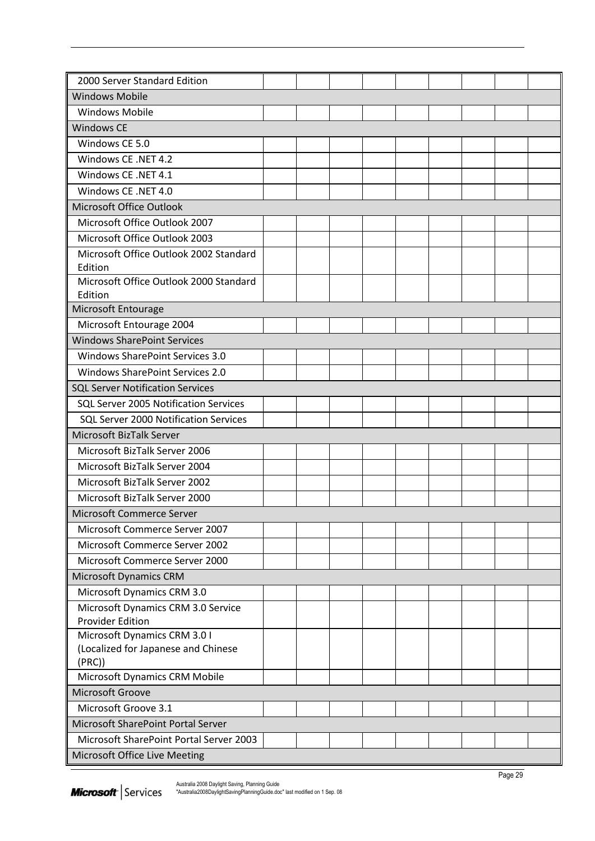| 2000 Server Standard Edition                 |  |  |  |  |  |  |  |  |
|----------------------------------------------|--|--|--|--|--|--|--|--|
| <b>Windows Mobile</b>                        |  |  |  |  |  |  |  |  |
| <b>Windows Mobile</b>                        |  |  |  |  |  |  |  |  |
| <b>Windows CE</b>                            |  |  |  |  |  |  |  |  |
| Windows CE 5.0                               |  |  |  |  |  |  |  |  |
| Windows CE .NET 4.2                          |  |  |  |  |  |  |  |  |
| Windows CE .NET 4.1                          |  |  |  |  |  |  |  |  |
| Windows CE .NET 4.0                          |  |  |  |  |  |  |  |  |
| Microsoft Office Outlook                     |  |  |  |  |  |  |  |  |
| Microsoft Office Outlook 2007                |  |  |  |  |  |  |  |  |
| Microsoft Office Outlook 2003                |  |  |  |  |  |  |  |  |
| Microsoft Office Outlook 2002 Standard       |  |  |  |  |  |  |  |  |
| Edition                                      |  |  |  |  |  |  |  |  |
| Microsoft Office Outlook 2000 Standard       |  |  |  |  |  |  |  |  |
| Edition                                      |  |  |  |  |  |  |  |  |
| Microsoft Entourage                          |  |  |  |  |  |  |  |  |
| Microsoft Entourage 2004                     |  |  |  |  |  |  |  |  |
| <b>Windows SharePoint Services</b>           |  |  |  |  |  |  |  |  |
| Windows SharePoint Services 3.0              |  |  |  |  |  |  |  |  |
| Windows SharePoint Services 2.0              |  |  |  |  |  |  |  |  |
| <b>SQL Server Notification Services</b>      |  |  |  |  |  |  |  |  |
| SQL Server 2005 Notification Services        |  |  |  |  |  |  |  |  |
| SQL Server 2000 Notification Services        |  |  |  |  |  |  |  |  |
| Microsoft BizTalk Server                     |  |  |  |  |  |  |  |  |
| Microsoft BizTalk Server 2006                |  |  |  |  |  |  |  |  |
| Microsoft BizTalk Server 2004                |  |  |  |  |  |  |  |  |
| Microsoft BizTalk Server 2002                |  |  |  |  |  |  |  |  |
| Microsoft BizTalk Server 2000                |  |  |  |  |  |  |  |  |
| Microsoft Commerce Server                    |  |  |  |  |  |  |  |  |
| Microsoft Commerce Server 2007               |  |  |  |  |  |  |  |  |
| Microsoft Commerce Server 2002               |  |  |  |  |  |  |  |  |
| Microsoft Commerce Server 2000               |  |  |  |  |  |  |  |  |
| Microsoft Dynamics CRM                       |  |  |  |  |  |  |  |  |
| Microsoft Dynamics CRM 3.0                   |  |  |  |  |  |  |  |  |
| Microsoft Dynamics CRM 3.0 Service           |  |  |  |  |  |  |  |  |
| <b>Provider Edition</b>                      |  |  |  |  |  |  |  |  |
| Microsoft Dynamics CRM 3.01                  |  |  |  |  |  |  |  |  |
| (Localized for Japanese and Chinese<br>(PRC) |  |  |  |  |  |  |  |  |
| Microsoft Dynamics CRM Mobile                |  |  |  |  |  |  |  |  |
| Microsoft Groove                             |  |  |  |  |  |  |  |  |
| Microsoft Groove 3.1                         |  |  |  |  |  |  |  |  |
| Microsoft SharePoint Portal Server           |  |  |  |  |  |  |  |  |
| Microsoft SharePoint Portal Server 2003      |  |  |  |  |  |  |  |  |
| Microsoft Office Live Meeting                |  |  |  |  |  |  |  |  |
|                                              |  |  |  |  |  |  |  |  |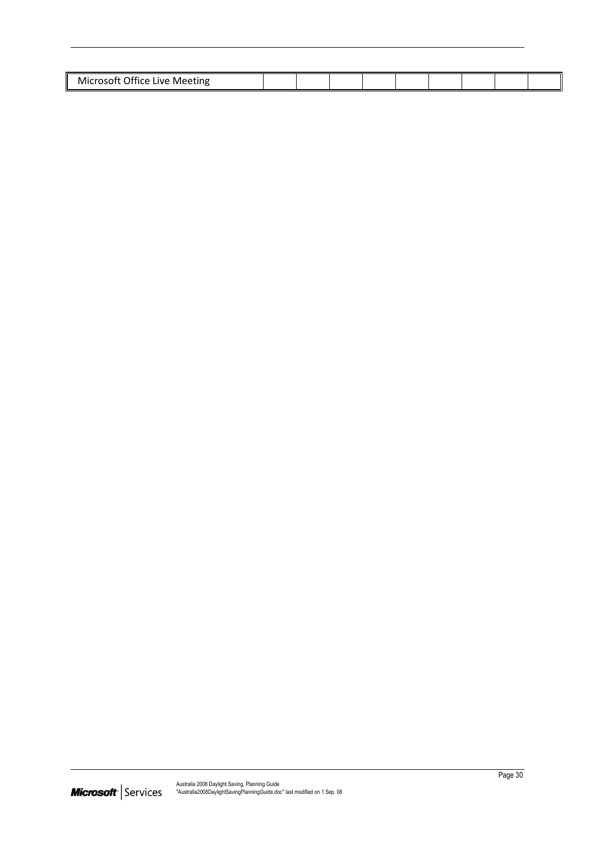| .<br>Office Live<br>MK<br><b>Meeting</b><br>∴rosoft |  |  |  |  |  |
|-----------------------------------------------------|--|--|--|--|--|
|                                                     |  |  |  |  |  |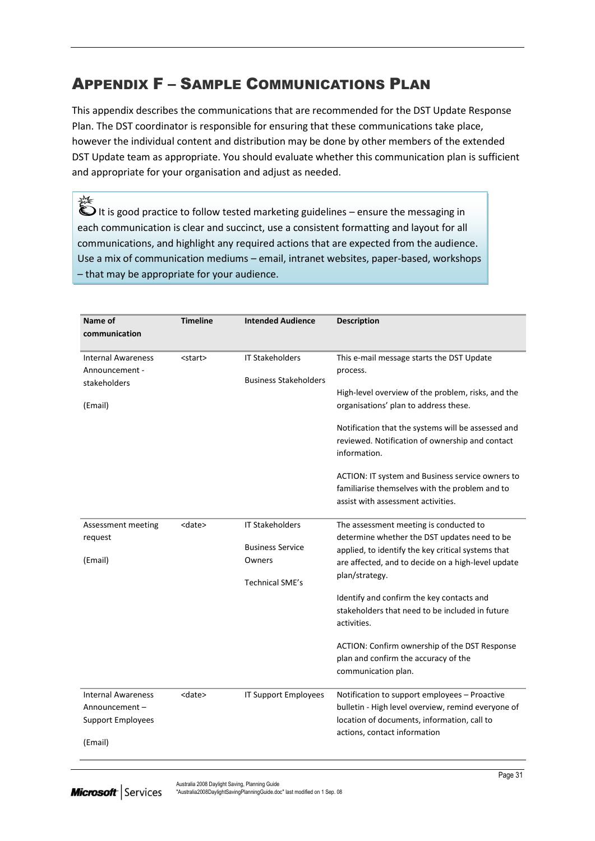# <span id="page-32-0"></span>APPENDIX F – SAMPLE COMMUNICATIONS PLAN

This appendix describes the communications that are recommended for the DST Update Response Plan. The DST coordinator is responsible for ensuring that these communications take place, however the individual content and distribution may be done by other members of the extended DST Update team as appropriate. You should evaluate whether this communication plan is sufficient and appropriate for your organisation and adjust as needed.

淼  $\bullet$  It is good practice to follow tested marketing guidelines – ensure the messaging in each communication is clear and succinct, use a consistent formatting and layout for all communications, and highlight any required actions that are expected from the audience. Use a mix of communication mediums – email, intranet websites, paper-based, workshops – that may be appropriate for your audience.

|                           | <b>Timeline</b> |                              |                                                                                       |
|---------------------------|-----------------|------------------------------|---------------------------------------------------------------------------------------|
| Name of<br>communication  |                 | <b>Intended Audience</b>     | <b>Description</b>                                                                    |
| <b>Internal Awareness</b> | <start></start> | <b>IT Stakeholders</b>       | This e-mail message starts the DST Update                                             |
| Announcement -            |                 |                              | process.                                                                              |
| stakeholders              |                 | <b>Business Stakeholders</b> |                                                                                       |
|                           |                 |                              | High-level overview of the problem, risks, and the                                    |
| (Email)                   |                 |                              | organisations' plan to address these.                                                 |
|                           |                 |                              |                                                                                       |
|                           |                 |                              | Notification that the systems will be assessed and                                    |
|                           |                 |                              | reviewed. Notification of ownership and contact                                       |
|                           |                 |                              | information.                                                                          |
|                           |                 |                              | ACTION: IT system and Business service owners to                                      |
|                           |                 |                              | familiarise themselves with the problem and to                                        |
|                           |                 |                              | assist with assessment activities.                                                    |
|                           |                 |                              |                                                                                       |
| Assessment meeting        | <date></date>   | <b>IT Stakeholders</b>       | The assessment meeting is conducted to                                                |
| request                   |                 |                              | determine whether the DST updates need to be                                          |
|                           |                 | <b>Business Service</b>      | applied, to identify the key critical systems that                                    |
| (Email)                   |                 | Owners                       | are affected, and to decide on a high-level update                                    |
|                           |                 | <b>Technical SME's</b>       | plan/strategy.                                                                        |
|                           |                 |                              | Identify and confirm the key contacts and                                             |
|                           |                 |                              | stakeholders that need to be included in future                                       |
|                           |                 |                              | activities.                                                                           |
|                           |                 |                              |                                                                                       |
|                           |                 |                              | ACTION: Confirm ownership of the DST Response<br>plan and confirm the accuracy of the |
|                           |                 |                              | communication plan.                                                                   |
|                           |                 |                              |                                                                                       |
| <b>Internal Awareness</b> | <date></date>   | IT Support Employees         | Notification to support employees - Proactive                                         |
| Announcement-             |                 |                              | bulletin - High level overview, remind everyone of                                    |
| <b>Support Employees</b>  |                 |                              | location of documents, information, call to                                           |
|                           |                 |                              | actions, contact information                                                          |
| (Email)                   |                 |                              |                                                                                       |
|                           |                 |                              |                                                                                       |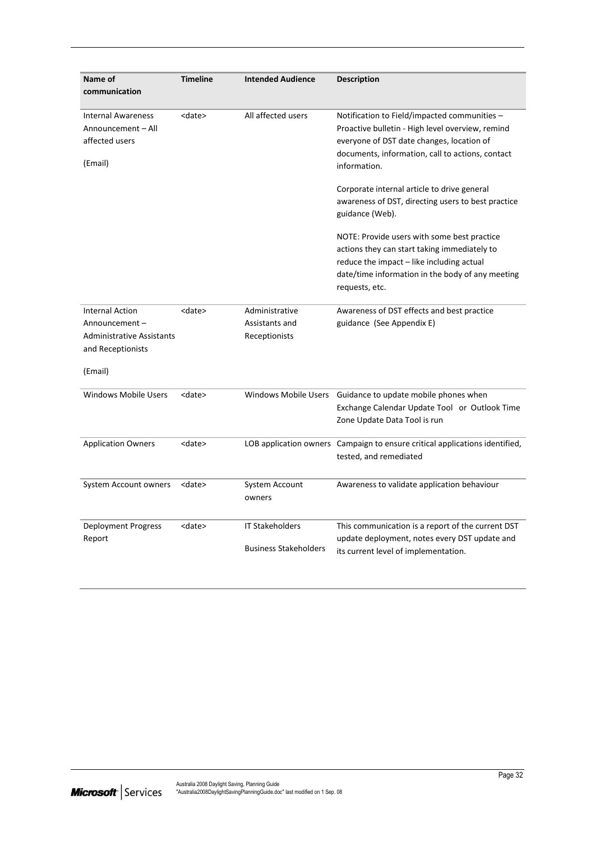| Name of<br>communication                                                                          | <b>Timeline</b> | <b>Intended Audience</b>                               | <b>Description</b>                                                                                                                                                                                                |
|---------------------------------------------------------------------------------------------------|-----------------|--------------------------------------------------------|-------------------------------------------------------------------------------------------------------------------------------------------------------------------------------------------------------------------|
| <b>Internal Awareness</b><br>Announcement - All<br>affected users<br>(Email)                      | <date></date>   | All affected users                                     | Notification to Field/impacted communities -<br>Proactive bulletin - High level overview, remind<br>everyone of DST date changes, location of<br>documents, information, call to actions, contact<br>information. |
|                                                                                                   |                 |                                                        | Corporate internal article to drive general<br>awareness of DST, directing users to best practice<br>guidance (Web).                                                                                              |
|                                                                                                   |                 |                                                        | NOTE: Provide users with some best practice<br>actions they can start taking immediately to<br>reduce the impact – like including actual<br>date/time information in the body of any meeting<br>requests, etc.    |
| <b>Internal Action</b><br>Announcement -<br><b>Administrative Assistants</b><br>and Receptionists | <date></date>   | Administrative<br>Assistants and<br>Receptionists      | Awareness of DST effects and best practice<br>guidance (See Appendix E)                                                                                                                                           |
| (Email)                                                                                           |                 |                                                        |                                                                                                                                                                                                                   |
| <b>Windows Mobile Users</b>                                                                       | <date></date>   | Windows Mobile Users                                   | Guidance to update mobile phones when<br>Exchange Calendar Update Tool or Outlook Time<br>Zone Update Data Tool is run                                                                                            |
| <b>Application Owners</b>                                                                         | <date></date>   |                                                        | LOB application owners Campaign to ensure critical applications identified,<br>tested, and remediated                                                                                                             |
| System Account owners                                                                             | <date></date>   | System Account<br>owners                               | Awareness to validate application behaviour                                                                                                                                                                       |
| <b>Deployment Progress</b><br>Report                                                              | <date></date>   | <b>IT Stakeholders</b><br><b>Business Stakeholders</b> | This communication is a report of the current DST<br>update deployment, notes every DST update and<br>its current level of implementation.                                                                        |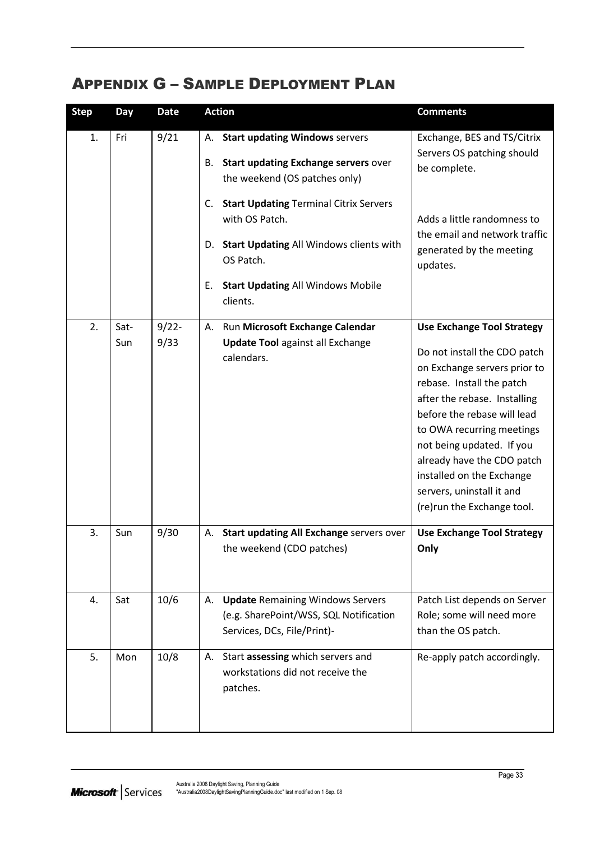## <span id="page-34-0"></span>APPENDIX G – SAMPLE DEPLOYMENT PLAN

| <b>Step</b> | Day         | <b>Date</b>      | <b>Action</b>                                                                                                                                                                                  | <b>Comments</b>                                                                                                                                                                                                                                                                                                                                                               |
|-------------|-------------|------------------|------------------------------------------------------------------------------------------------------------------------------------------------------------------------------------------------|-------------------------------------------------------------------------------------------------------------------------------------------------------------------------------------------------------------------------------------------------------------------------------------------------------------------------------------------------------------------------------|
| 1.          | Fri         | 9/21             | <b>Start updating Windows servers</b><br>А.<br>Start updating Exchange servers over<br>В.<br>the weekend (OS patches only)                                                                     | Exchange, BES and TS/Citrix<br>Servers OS patching should<br>be complete.                                                                                                                                                                                                                                                                                                     |
|             |             |                  | <b>Start Updating Terminal Citrix Servers</b><br>C.<br>with OS Patch.<br>D. Start Updating All Windows clients with<br>OS Patch.<br><b>Start Updating All Windows Mobile</b><br>Е.<br>clients. | Adds a little randomness to<br>the email and network traffic<br>generated by the meeting<br>updates.                                                                                                                                                                                                                                                                          |
| 2.          | Sat-<br>Sun | $9/22 -$<br>9/33 | Run Microsoft Exchange Calendar<br>А.<br><b>Update Tool against all Exchange</b><br>calendars.                                                                                                 | <b>Use Exchange Tool Strategy</b><br>Do not install the CDO patch<br>on Exchange servers prior to<br>rebase. Install the patch<br>after the rebase. Installing<br>before the rebase will lead<br>to OWA recurring meetings<br>not being updated. If you<br>already have the CDO patch<br>installed on the Exchange<br>servers, uninstall it and<br>(re)run the Exchange tool. |
| 3.          | Sun         | 9/30             | Start updating All Exchange servers over<br>А.<br>the weekend (CDO patches)                                                                                                                    | <b>Use Exchange Tool Strategy</b><br>Only                                                                                                                                                                                                                                                                                                                                     |
| 4.          | Sat         | 10/6             | <b>Update Remaining Windows Servers</b><br>А.<br>(e.g. SharePoint/WSS, SQL Notification<br>Services, DCs, File/Print)-                                                                         | Patch List depends on Server<br>Role; some will need more<br>than the OS patch.                                                                                                                                                                                                                                                                                               |
| 5.          | Mon         | 10/8             | Start assessing which servers and<br>А.<br>workstations did not receive the<br>patches.                                                                                                        | Re-apply patch accordingly.                                                                                                                                                                                                                                                                                                                                                   |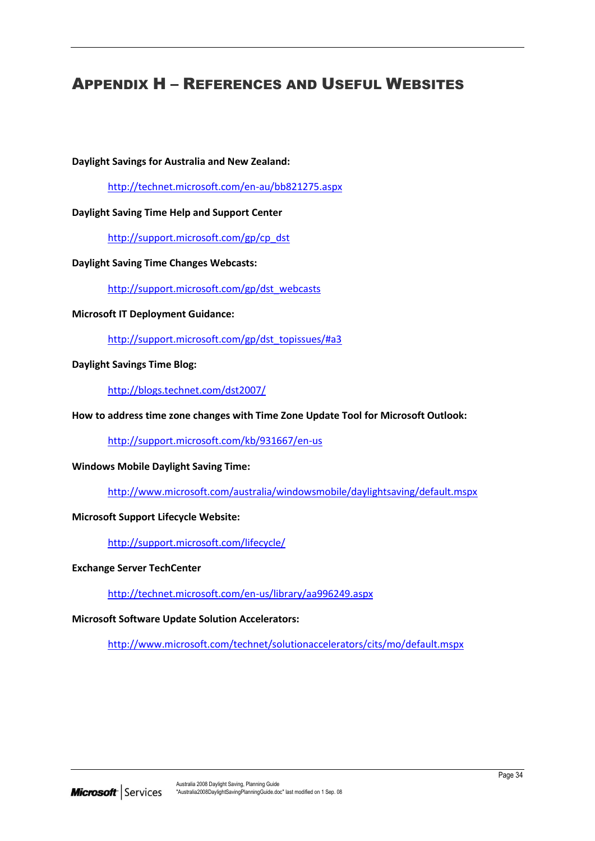## <span id="page-35-0"></span>APPENDIX H – REFERENCES AND USEFUL WEBSITES

**Daylight Savings for Australia and New Zealand:**

<http://technet.microsoft.com/en-au/bb821275.aspx>

#### **Daylight Saving Time Help and Support Center**

[http://support.microsoft.com/gp/cp\\_dst](http://support.microsoft.com/gp/cp_dst)

#### **Daylight Saving Time Changes Webcasts:**

[http://support.microsoft.com/gp/dst\\_webcasts](http://support.microsoft.com/gp/dst_webcasts)

**Microsoft IT Deployment Guidance:**

[http://support.microsoft.com/gp/dst\\_topissues/#a3](http://support.microsoft.com/gp/dst_topissues/#a3)

**Daylight Savings Time Blog:**

<http://blogs.technet.com/dst2007/>

**How to address time zone changes with Time Zone Update Tool for Microsoft Outlook:**

<http://support.microsoft.com/kb/931667/en-us>

#### **Windows Mobile Daylight Saving Time:**

<http://www.microsoft.com/australia/windowsmobile/daylightsaving/default.mspx>

#### **Microsoft Support Lifecycle Website:**

<http://support.microsoft.com/lifecycle/>

#### **Exchange Server TechCenter**

<http://technet.microsoft.com/en-us/library/aa996249.aspx>

**Microsoft Software Update Solution Accelerators:**

<http://www.microsoft.com/technet/solutionaccelerators/cits/mo/default.mspx>